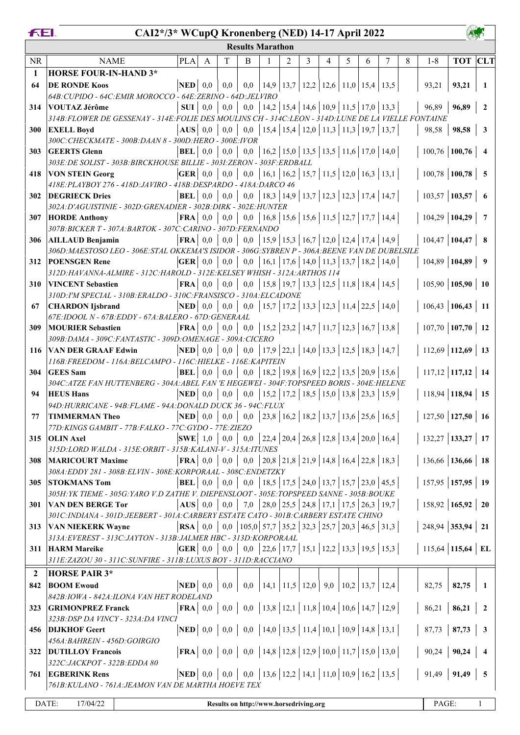|              | FEI.<br>CAI2*/3* WCupQ Kronenberg (NED) 14-17 April 2022<br><b>Results Marathon</b>                         |                                                           |              |                                                                                        |                                                                                 |              |                                                        |   |   |   |   |   |   |                        |                     |                |
|--------------|-------------------------------------------------------------------------------------------------------------|-----------------------------------------------------------|--------------|----------------------------------------------------------------------------------------|---------------------------------------------------------------------------------|--------------|--------------------------------------------------------|---|---|---|---|---|---|------------------------|---------------------|----------------|
|              |                                                                                                             |                                                           |              |                                                                                        |                                                                                 |              |                                                        |   |   |   |   |   |   |                        |                     |                |
| <b>NR</b>    | <b>NAME</b>                                                                                                 | PLA                                                       | $\mathbf{A}$ | T                                                                                      | B                                                                               | $\mathbf{1}$ | 2                                                      | 3 | 4 | 5 | 6 | 7 | 8 | $1 - 8$                | <b>TOT</b> CLT      |                |
| $\mathbf{1}$ | <b>HORSE FOUR-IN-HAND 3*</b>                                                                                |                                                           |              |                                                                                        |                                                                                 |              |                                                        |   |   |   |   |   |   |                        |                     |                |
| 64           | <b>DE RONDE Koos</b>                                                                                        |                                                           |              | $ \mathbf{NED} $ 0,0 0,0                                                               |                                                                                 |              | 0,0   14,9   13,7   12,2   12,6   11,0   15,4   13,5   |   |   |   |   |   |   | 93,21                  | 93,21               | $\blacksquare$ |
|              | 64B: CUPIDO - 64C: EMIR MOROCCO - 64E: ZERINO - 64D: JELVIRO                                                |                                                           |              |                                                                                        |                                                                                 |              |                                                        |   |   |   |   |   |   |                        |                     |                |
| 314          | VOUTAZ Jérôme                                                                                               |                                                           |              |                                                                                        | <b>SUI</b>   0,0   0,0   0,0   14,2   15,4   14,6   10,9   11,5   17,0   13,3   |              |                                                        |   |   |   |   |   |   |                        | $96,89$   96,89   2 |                |
|              | 314B: FLOWER DE GESSENAY - 314E: FOLIE DES MOULINS CH - 314C: LEON - 314D: LUNE DE LA VIELLE FONTAINE       |                                                           |              |                                                                                        |                                                                                 |              |                                                        |   |   |   |   |   |   |                        |                     |                |
| 300          | <b>EXELL Boyd</b>                                                                                           |                                                           |              |                                                                                        | AUS   0,0   0,0   0,0   15,4   15,4   12,0   11,3   11,3   19,7   13,7          |              |                                                        |   |   |   |   |   |   | 98,58                  | 98,58 3             |                |
|              | 300C: CHECKMATE - 300B: DAAN 8 - 300D: HERO - 300E: IVOR                                                    |                                                           |              |                                                                                        |                                                                                 |              |                                                        |   |   |   |   |   |   |                        |                     |                |
| 303          | <b>GEERTS Glenn</b>                                                                                         |                                                           |              |                                                                                        | <b>BEL</b>   0,0   0,0   0,0   16,2   15,0   13,5   13,5   11,6   17,0   14,0   |              |                                                        |   |   |   |   |   |   | $100,76$ 100,76 4      |                     |                |
|              | 303E: DE SOLIST - 303B: BIRCKHOUSE BILLIE - 303I: ZERON - 303F: ERDBALL                                     |                                                           |              |                                                                                        |                                                                                 |              |                                                        |   |   |   |   |   |   |                        |                     |                |
| 418          | <b>VON STEIN Georg</b>                                                                                      |                                                           |              |                                                                                        |                                                                                 |              | 0,0   16,1   16,2   15,7   11,5   12,0   16,3   13,1   |   |   |   |   |   |   | $100,78$ 100,78 5      |                     |                |
|              | 418E: PLAYBOY 276 - 418D: JAVIRO - 418B: DESPARDO - 418A: DARCO 46                                          |                                                           |              |                                                                                        |                                                                                 |              |                                                        |   |   |   |   |   |   |                        |                     |                |
| <b>302</b>   | <b>DEGRIECK Dries</b>                                                                                       |                                                           |              |                                                                                        | <b>BEL</b>   0,0   0,0   0,0   18,3   14,9   13,7   12,3   12,3   17,4   14,7   |              |                                                        |   |   |   |   |   |   | $103,57$ 103,57 6      |                     |                |
|              | 302A:D'AGUISTINIE - 302D:GRENADIER - 302B:DIRK - 302E:HUNTER                                                |                                                           |              |                                                                                        |                                                                                 |              |                                                        |   |   |   |   |   |   |                        |                     |                |
| 307          | <b>HORDE Anthony</b><br>307B: BICKER T - 307A: BARTOK - 307C: CARINO - 307D: FERNANDO                       |                                                           |              |                                                                                        | <b>FRA</b>   0,0   0,0   0,0   16,8   15,6   15,6   11,5   12,7   17,7   14,4   |              |                                                        |   |   |   |   |   |   | $104,29$ 104,29 7      |                     |                |
|              | 306   AILLAUD Benjamin                                                                                      |                                                           |              |                                                                                        | <b>FRA</b>   0,0   0,0   0,0   15,9   15,3   16,7   12,0   12,4   17,4   14,9   |              |                                                        |   |   |   |   |   |   | $104,47$ 104,47   8    |                     |                |
|              | 306D: MAESTOSO LEO - 306E: STAL OKKEMA'S ISIDOR - 306G: SYBREN P - 306A: BEENE VAN DE DUBELSILE             |                                                           |              |                                                                                        |                                                                                 |              |                                                        |   |   |   |   |   |   |                        |                     |                |
| 312          | <b>POENSGEN Rene</b>                                                                                        |                                                           |              |                                                                                        | <b>GER</b>   0,0   0,0   0,0   16,1   17,6   14,0   11,3   13,7   18,2   14,0   |              |                                                        |   |   |   |   |   |   | $104,89$ 104,89 9      |                     |                |
|              | 312D:HAVANNA-ALMIRE - 312C:HAROLD - 312E:KELSEY WHISH - 312A:ARTHOS 114                                     |                                                           |              |                                                                                        |                                                                                 |              |                                                        |   |   |   |   |   |   |                        |                     |                |
| 310          | <b>VINCENT Sebastien</b>                                                                                    |                                                           |              |                                                                                        | <b>FRA</b>   0,0   0,0   0,0   15,8   19,7   13,3   12,5   11,8   18,4   14,5   |              |                                                        |   |   |   |   |   |   | $105,90$ 105,90 10     |                     |                |
|              | 310D: I'M SPECIAL - 310B: ERALDO - 310C: FRANSISCO - 310A: ELCADONE                                         |                                                           |              |                                                                                        |                                                                                 |              |                                                        |   |   |   |   |   |   |                        |                     |                |
| 67           | <b>CHARDON</b> Ijsbrand                                                                                     | <b>NED</b> 0,0 0,0 0,0 15,7 17,2 13,3 12,3 11,4 22,5 14,0 |              |                                                                                        |                                                                                 |              |                                                        |   |   |   |   |   |   | $106,43$ 106,43 11     |                     |                |
|              | 67E: IDOOL N - 67B: EDDY - 67A: BALERO - 67D: GENERAAL                                                      |                                                           |              |                                                                                        |                                                                                 |              |                                                        |   |   |   |   |   |   |                        |                     |                |
| 309          | <b>FRA</b>   0,0   0,0   0,0   15,2   23,2   14,7   11,7   12,3   16,7   13,8  <br><b>MOURIER Sebastien</b> |                                                           |              |                                                                                        |                                                                                 |              |                                                        |   |   |   |   |   |   | $107,70$ 107,70 12     |                     |                |
|              | 309B: DAMA - 309C: FANTASTIC - 309D: OMENAGE - 309A: CICERO                                                 |                                                           |              |                                                                                        |                                                                                 |              |                                                        |   |   |   |   |   |   |                        |                     |                |
|              | 116 VAN DER GRAAF Edwin [NED] 0,0   0,0   0,0   17,9   22,1   14,0   13,3   12,5   18,3   14,7              |                                                           |              |                                                                                        |                                                                                 |              |                                                        |   |   |   |   |   |   | $112,69$ 112,69 13     |                     |                |
|              | 116B: FREEDOM - 116A: BELCAMPO - 116C: HIELKE - 116E: KAPITEIN                                              |                                                           |              |                                                                                        |                                                                                 |              |                                                        |   |   |   |   |   |   |                        |                     |                |
| 304          | <b>GEES</b> Sam                                                                                             | <b>BEL</b>                                                | 0,0          | 0,0                                                                                    |                                                                                 |              | 0,0   18,2   19,8   16,9   12,2   13,5   20,9   15,6   |   |   |   |   |   |   | 117,12   117,12   14   |                     |                |
|              | 304C: ATZE FAN HUTTENBERG - 304A: ABEL FAN 'E HEGEWEI - 304F: TOPSPEED BORIS - 304E: HELENE                 |                                                           |              |                                                                                        |                                                                                 |              |                                                        |   |   |   |   |   |   |                        |                     |                |
| 94           | <b>HEUS Hans</b><br>94D: HURRICANE - 94B: FLAME - 94A: DONALD DUCK 36 - 94C: FLUX                           | <b>NED</b>                                                |              | $0,0 \ 0,0$                                                                            |                                                                                 |              | $0,0$   15,2   17,2   18,5   15,0   13,8   23,3   15,9 |   |   |   |   |   |   | $118,94$ 118,94 15     |                     |                |
|              | 77   TIMMERMAN Theo $\qquad$   NED   0,0   0,0   0,0   23,8   16,2   18,2   13,7   13,6   25,6   16,5       |                                                           |              |                                                                                        |                                                                                 |              |                                                        |   |   |   |   |   |   | $127,50$ 127,50 16     |                     |                |
|              | 77D: KINGS GAMBIT - 77B: FALKO - 77C: GYDO - 77E: ZIEZO                                                     |                                                           |              |                                                                                        |                                                                                 |              |                                                        |   |   |   |   |   |   |                        |                     |                |
|              | 315 OLIN Axel                                                                                               |                                                           |              |                                                                                        | <b>SWE</b>   1,0   0,0   0,0   22,4   20,4   26,8   12,8   13,4   20,0   16,4   |              |                                                        |   |   |   |   |   |   | $132,27$ 133,27 17     |                     |                |
|              | 315D:LORD WALDA - 315E:ORBIT - 315B:KALANI-V - 315A:ITUNES                                                  |                                                           |              |                                                                                        |                                                                                 |              |                                                        |   |   |   |   |   |   |                        |                     |                |
| <b>308</b>   | <b>MARICOURT Maxime</b>                                                                                     |                                                           |              |                                                                                        | FRA   $\,$ 0,0   0,0   0,0   20,8   21,8   21,9   14,8   16,4   22,8   18,3     |              |                                                        |   |   |   |   |   |   | $136,66$ 136,66 18     |                     |                |
|              | 308A: EDDY 281 - 308B: ELVIN - 308E: KORPORAAL - 308C: ENDETZKY                                             |                                                           |              |                                                                                        |                                                                                 |              |                                                        |   |   |   |   |   |   |                        |                     |                |
| 305          | <b>STOKMANS Tom</b>                                                                                         |                                                           |              | <b>BEL</b> $\begin{bmatrix} 0,0 \end{bmatrix}$ 0,0 $\begin{bmatrix} 0,0 \end{bmatrix}$ |                                                                                 |              | 0,0   18,5   17,5   24,0   13,7   15,7   23,0   45,5   |   |   |   |   |   |   | $157,95$ 157,95 19     |                     |                |
|              | 305H: YK TIEME - 305G: YARO V.D ZATHE V. DIEPENSLOOT - 305E: TOPSPEED SANNE - 305B: BOUKE                   |                                                           |              |                                                                                        |                                                                                 |              |                                                        |   |   |   |   |   |   |                        |                     |                |
| 301          | <b>VAN DEN BERGE Tor</b>                                                                                    |                                                           |              | $\vert$ AUS $\vert$ 0,0 $\vert$ 0,0 $\vert$                                            |                                                                                 |              | 7,0   28,0   25,5   24,8   17,1   17,5   26,3   19,7   |   |   |   |   |   |   | $158,92$   165,92   20 |                     |                |
|              | 301C:INDIANA - 301D:JEEBERT - 301A:CARBERY ESTATE CATO - 301B:CARBERY ESTATE CHINO                          |                                                           |              |                                                                                        |                                                                                 |              |                                                        |   |   |   |   |   |   |                        |                     |                |
| 313          | <b>VAN NIEKERK Wayne</b>                                                                                    |                                                           |              |                                                                                        | <b>RSA</b>   0,0   0,0   105,0   57,7   35,2   32,3   25,7   20,3   46,5   31,3 |              |                                                        |   |   |   |   |   |   | 248,94 353,94 21       |                     |                |
|              | 313A: EVEREST - 313C: JAYTON - 313B: JALMER HBC - 313D: KORPORAAL                                           |                                                           |              |                                                                                        |                                                                                 |              |                                                        |   |   |   |   |   |   |                        |                     |                |
|              | 311 HARM Mareike                                                                                            |                                                           |              |                                                                                        | <b>GER</b>   0,0   0,0   0,0   22,6   17,7   15,1   12,2   13,3   19,5   15,3   |              |                                                        |   |   |   |   |   |   | $115,64$ 115,64 EL     |                     |                |
|              | 311E: ZAZOU 30 - 311C: SUNFIRE - 311B: LUXUS BOY - 311D: RACCIANO                                           |                                                           |              |                                                                                        |                                                                                 |              |                                                        |   |   |   |   |   |   |                        |                     |                |
| $\mathbf{2}$ | <b>HORSE PAIR 3*</b>                                                                                        |                                                           |              |                                                                                        |                                                                                 |              |                                                        |   |   |   |   |   |   |                        |                     |                |
| 842          | <b>BOOM Ewoud</b>                                                                                           |                                                           |              |                                                                                        | <b>NED</b>   0,0   0,0   0,0   14,1   11,5   12,0   9,0   10,2   13,7   12,4    |              |                                                        |   |   |   |   |   |   | 82,75                  | 82,75               | $\blacksquare$ |
|              | 842B: IOWA - 842A: ILONA VAN HET RODELAND                                                                   |                                                           |              |                                                                                        |                                                                                 |              |                                                        |   |   |   |   |   |   |                        |                     |                |
| 323          | <b>GRIMONPREZ Franck</b>                                                                                    |                                                           |              |                                                                                        | <b>FRA</b>   0,0   0,0   0,0   13,8   12,1   11,8   10,4   10,6   14,7   12,9   |              |                                                        |   |   |   |   |   |   |                        | $86,21$   86,21   2 |                |
|              | 323B: DSP DA VINCY - 323A: DA VINCI                                                                         |                                                           |              |                                                                                        |                                                                                 |              |                                                        |   |   |   |   |   |   |                        |                     |                |
|              | 456   DIJKHOF Geert                                                                                         |                                                           |              |                                                                                        | <b>NED</b>   0,0   0,0   0,0   14,0   13,5   11,4   10,1   10,9   14,8   13,1   |              |                                                        |   |   |   |   |   |   |                        | $87,73$   87,73   3 |                |
|              | 456A: BAHREIN - 456D: GOIRGIO                                                                               |                                                           |              |                                                                                        |                                                                                 |              |                                                        |   |   |   |   |   |   |                        |                     |                |
| 322          | <b>DUTILLOY Francois</b>                                                                                    |                                                           |              |                                                                                        | <b>FRA</b>   0,0   0,0   0,0   14,8   12,8   12,9   10,0   11,7   15,0   13,0   |              |                                                        |   |   |   |   |   |   |                        | $90,24$   90,24   4 |                |
|              | 322С: ЈАСКРОТ - 322В: ЕDDA 80<br>761 EGBERINK Rens                                                          |                                                           |              |                                                                                        | <b>NED</b>   0,0   0,0   0,0   13,6   12,2   14,1   11,0   10,9   16,2   13,5   |              |                                                        |   |   |   |   |   |   |                        | $91,49$   91,49   5 |                |
|              | 761B: KULANO - 761A: JEAMON VAN DE MARTHA HOEVE TEX                                                         |                                                           |              |                                                                                        |                                                                                 |              |                                                        |   |   |   |   |   |   |                        |                     |                |
|              |                                                                                                             |                                                           |              |                                                                                        |                                                                                 |              |                                                        |   |   |   |   |   |   |                        |                     |                |
|              | DATE:<br>17/04/22                                                                                           |                                                           |              |                                                                                        | Results on http://www.horsedriving.org                                          |              |                                                        |   |   |   |   |   |   | PAGE:                  |                     | 1              |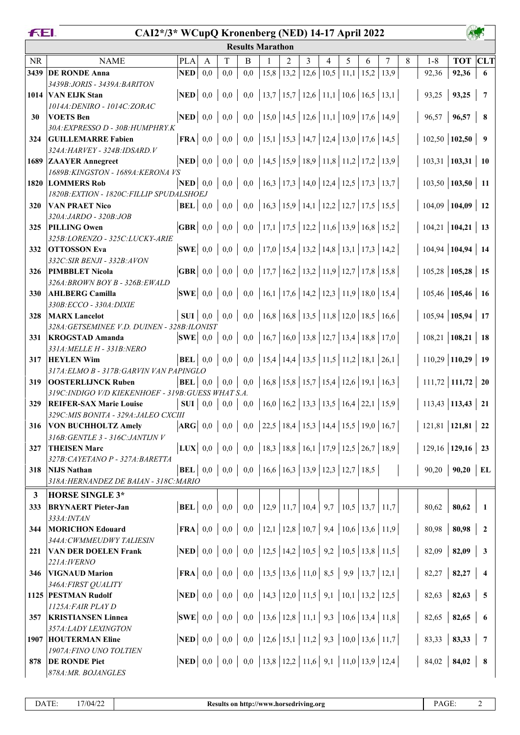|--|

## **CAI2\*/3\* WCupQ Kronenberg (NED) 14-17 April 2022**

|            | <b>Results Marathon</b>                                               |                                                                               |         |     |     |                                                                                                                                                                                                                                                                                                                                                               |                |      |      |      |      |      |   |                                   |                |                          |
|------------|-----------------------------------------------------------------------|-------------------------------------------------------------------------------|---------|-----|-----|---------------------------------------------------------------------------------------------------------------------------------------------------------------------------------------------------------------------------------------------------------------------------------------------------------------------------------------------------------------|----------------|------|------|------|------|------|---|-----------------------------------|----------------|--------------------------|
| <b>NR</b>  | <b>NAME</b>                                                           | <b>PLA</b>                                                                    | A       | T   | B   |                                                                                                                                                                                                                                                                                                                                                               | $\mathfrak{D}$ | 3    | 4    | 5    | 6    | 7    | 8 | $1 - 8$                           | <b>TOT CLT</b> |                          |
| 3439       | <b>DE RONDE Anna</b>                                                  | <b>NED</b>                                                                    | 0,0     | 0,0 | 0,0 |                                                                                                                                                                                                                                                                                                                                                               | $15,8$   13,2  | 12,6 | 10,5 | 11,1 | 15,2 | 13,9 |   | 92,36                             | 92,36          | 6                        |
|            | 3439B: JORIS - 3439A: BARITON                                         |                                                                               |         |     |     |                                                                                                                                                                                                                                                                                                                                                               |                |      |      |      |      |      |   |                                   |                |                          |
| 1014       | <b>VAN ELJK Stan</b>                                                  | $\bf NED$ 0,0                                                                 |         | 0,0 |     | $0,0$   13,7   15,7   12,6   11,1   10,6   16,5   13,1                                                                                                                                                                                                                                                                                                        |                |      |      |      |      |      |   | 93,25                             | 93,25          | $\overline{7}$           |
|            | 1014A: DENIRO - 1014C: ZORAC                                          |                                                                               |         |     |     |                                                                                                                                                                                                                                                                                                                                                               |                |      |      |      |      |      |   |                                   |                |                          |
| 30         | <b>VOETS</b> Ben                                                      | $\bf NED$ 0.0                                                                 |         | 0,0 |     | 0,0   15,0   14,5   12,6   11,1   10,9   17,6   14,9                                                                                                                                                                                                                                                                                                          |                |      |      |      |      |      |   | 96,57                             | 96,57          | 8                        |
|            | 30A: EXPRESSO D - 30B: HUMPHRY.K                                      |                                                                               |         |     |     |                                                                                                                                                                                                                                                                                                                                                               |                |      |      |      |      |      |   |                                   |                |                          |
| 324        | <b>GUILLEMARRE Fabien</b>                                             | $\mathbf{FRA} \mid 0,0$                                                       |         | 0,0 |     | 0,0   15,1   15,3   14,7   12,4   13,0   17,6   14,5                                                                                                                                                                                                                                                                                                          |                |      |      |      |      |      |   | $102,50$   102,50                 |                | $\overline{\mathbf{9}}$  |
|            | 324A: HARVEY - 324B: IDSARD. V                                        |                                                                               |         |     |     |                                                                                                                                                                                                                                                                                                                                                               |                |      |      |      |      |      |   |                                   |                |                          |
|            | 1689 ZAAYER Annegreet                                                 | <b>NED</b>                                                                    | 0.0     | 0.0 | 0,0 | $\vert 14,5 \vert 15,9 \vert 18,9 \vert 11,8 \vert 11,2 \vert 17,2 \vert$                                                                                                                                                                                                                                                                                     |                |      |      |      |      | 13,9 |   | $103,31$   103,31   10            |                |                          |
|            | 1689B: KINGSTON - 1689A: KERONA VS                                    |                                                                               |         |     |     | 0,0   16,3   17,3   14,0   12,4   12,5   17,3   13,7                                                                                                                                                                                                                                                                                                          |                |      |      |      |      |      |   | $103,50$   103,50   11            |                |                          |
|            | 1820 LOMMERS Rob<br>1820B: EXTION - 1820C: FILLIP SPUDALSHOEJ         | $\bf NED$ 0.0                                                                 |         | 0,0 |     |                                                                                                                                                                                                                                                                                                                                                               |                |      |      |      |      |      |   |                                   |                |                          |
| 320        | <b>VAN PRAET Nico</b>                                                 | $BEL$ 0,0                                                                     |         | 0,0 |     | 0,0   16,3   15,9   14,1   12,2   12,7   17,5   15,5                                                                                                                                                                                                                                                                                                          |                |      |      |      |      |      |   | $104,09$   104,09   12            |                |                          |
|            | 320A: JARDO - 320B: JOB                                               |                                                                               |         |     |     |                                                                                                                                                                                                                                                                                                                                                               |                |      |      |      |      |      |   |                                   |                |                          |
| 325        | <b>PILLING Owen</b>                                                   | $\mathbf{GBR} \mid 0.0$                                                       |         | 0,0 |     | 0,0   17,1   17,5   12,2   11,6   13,9   16,8   15,2                                                                                                                                                                                                                                                                                                          |                |      |      |      |      |      |   | $104,21$   104,21   13            |                |                          |
|            | 325B:LORENZO - 325C:LUCKY-ARIE                                        |                                                                               |         |     |     |                                                                                                                                                                                                                                                                                                                                                               |                |      |      |      |      |      |   |                                   |                |                          |
| 332        | <b>OTTOSSON Eva</b>                                                   | $ {\bf SWE} $ 0.0                                                             |         | 0,0 |     | 0,0   17,0   15,4   13,2   14,8   13,1   17,3   14,2                                                                                                                                                                                                                                                                                                          |                |      |      |      |      |      |   | $104,94$   104,94   14            |                |                          |
|            | 332C: SIR BENJI - 332B: AVON                                          |                                                                               |         |     |     |                                                                                                                                                                                                                                                                                                                                                               |                |      |      |      |      |      |   |                                   |                |                          |
| 326        | <b>PIMBBLET Nicola</b>                                                | $\overline{\textbf{GBR}}$ 0,0                                                 |         | 0,0 |     | 0,0   17,7   16,2   13,2   11,9   12,7   17,8   15,8                                                                                                                                                                                                                                                                                                          |                |      |      |      |      |      |   | $105,28$   105,28   15            |                |                          |
|            | 326A: BROWN BOY B - 326B: EWALD                                       |                                                                               |         |     |     |                                                                                                                                                                                                                                                                                                                                                               |                |      |      |      |      |      |   |                                   |                |                          |
| <b>330</b> | <b>AHLBERG Camilla</b>                                                | $ {\bf SWE} $ 0,0                                                             |         | 0,0 |     | 0,0   16,1   17,6   14,2   12,3   11,9   18,0   15,4                                                                                                                                                                                                                                                                                                          |                |      |      |      |      |      |   | $105,46$ 105,46 16                |                |                          |
|            | 330B:ECCO - 330A:DIXIE                                                |                                                                               |         |     |     |                                                                                                                                                                                                                                                                                                                                                               |                |      |      |      |      |      |   |                                   |                |                          |
| 328        | <b>MARX</b> Lancelot                                                  | SUI                                                                           | $0.0\,$ | 0,0 |     | 0,0   16,8   16,8   13,5   11,8   12,0   18,5   16,6                                                                                                                                                                                                                                                                                                          |                |      |      |      |      |      |   | $105,94$   105,94   17            |                |                          |
| 331        | 328A: GETSEMINEE V.D. DUINEN - 328B:ILONIST<br><b>KROGSTAD Amanda</b> | $ {\bf SWE} $ 0,0                                                             |         | 0,0 |     | 0,0   16,7   16,0   13,8   12,7   13,4   18,8   17,0                                                                                                                                                                                                                                                                                                          |                |      |      |      |      |      |   | $108,21$   108,21   18            |                |                          |
|            | 331A: MELLE H - 331B: NERO                                            |                                                                               |         |     |     |                                                                                                                                                                                                                                                                                                                                                               |                |      |      |      |      |      |   |                                   |                |                          |
| 317        | <b>HEYLEN Wim</b>                                                     | <b>BEL</b>                                                                    | 0,0     | 0,0 | 0,0 | $\vert 15,4 \vert 14,4 \vert 13,5 \vert 11,5 \vert 11,2 \vert 18,1 \vert 26,1 \vert 15,1 \vert 16,1 \vert 17,1 \vert 18,1 \vert 19,1 \vert 19,1 \vert 19,1 \vert 19,1 \vert 19,1 \vert 19,1 \vert 19,1 \vert 19,1 \vert 19,1 \vert 19,1 \vert 19,1 \vert 19,1 \vert 19,1 \vert 19,1 \vert 19,1 \vert 19,1 \vert 19,1 \vert 19,1 \vert 19,1 \vert 19,1 \vert $ |                |      |      |      |      |      |   | $110,29$ 110,29 19                |                |                          |
|            | 317A: ELMO B - 317B: GARVIN VAN PAPINGLO                              |                                                                               |         |     |     |                                                                                                                                                                                                                                                                                                                                                               |                |      |      |      |      |      |   |                                   |                |                          |
| 319        | <b>OOSTERLIJNCK Ruben</b>                                             | <b>BEL</b>                                                                    | 0.0     | 0,0 |     | 0,0   16,8   15,8   15,7   15,4   12,6   19,1   16,3                                                                                                                                                                                                                                                                                                          |                |      |      |      |      |      |   | $111,72$ 111,72 20                |                |                          |
|            | 319C: INDIGO V/D KIEKENHOEF - 319B: GUESS WHAT S.A.                   |                                                                               |         |     |     |                                                                                                                                                                                                                                                                                                                                                               |                |      |      |      |      |      |   |                                   |                |                          |
| 329        | <b>REIFER-SAX Marie Louise</b>                                        | SUI                                                                           | 0,0     | 0,0 |     | 0,0   16,0   16,2   13,3   13,5   16,4   22,1   15,9                                                                                                                                                                                                                                                                                                          |                |      |      |      |      |      |   | $113,43$ 113,43 21                |                |                          |
|            | 329C: MIS BONITA - 329A: JALEO CXCIII                                 |                                                                               |         |     |     |                                                                                                                                                                                                                                                                                                                                                               |                |      |      |      |      |      |   |                                   |                |                          |
| 316        | <b>VON BUCHHOLTZ Amely</b>                                            | $ARG$ 0,0                                                                     |         | 0,0 |     | 0,0 22,5 18,4 15,3 14,4 15,5 19,0 16,7                                                                                                                                                                                                                                                                                                                        |                |      |      |      |      |      |   | $121,81$   121,81   22            |                |                          |
|            | 316B: GENTLE 3 - 316C: JANTIJN V                                      |                                                                               |         |     |     |                                                                                                                                                                                                                                                                                                                                                               |                |      |      |      |      |      |   |                                   |                |                          |
| 327        | <b>THEISEN Marc</b><br>327B: CAYETANO P - 327A: BARETTA               | <b>LUX</b>   0,0   0,0   0,0   18,3   18,8   16,1   17,9   12,5   26,7   18,9 |         |     |     |                                                                                                                                                                                                                                                                                                                                                               |                |      |      |      |      |      |   | $129,16$ 129,16 23                |                |                          |
| 318        | <b>NIJS Nathan</b>                                                    |                                                                               |         |     |     | <b>BEL</b>   0,0   0,0   0,0   16,6   16,3   13,9   12,3   12,7   18,5                                                                                                                                                                                                                                                                                        |                |      |      |      |      |      |   | $90,20$   90,20   EL              |                |                          |
|            | 318A: HERNANDEZ DE BAIAN - 318C: MARIO                                |                                                                               |         |     |     |                                                                                                                                                                                                                                                                                                                                                               |                |      |      |      |      |      |   |                                   |                |                          |
| 3          | <b>HORSE SINGLE 3*</b>                                                |                                                                               |         |     |     |                                                                                                                                                                                                                                                                                                                                                               |                |      |      |      |      |      |   |                                   |                |                          |
| 333        | <b>BRYNAERT</b> Pieter-Jan                                            | <b>BEL</b> 0,0 0,0                                                            |         |     |     | $0,0$   12,9   11,7   10,4   9,7   10,5   13,7   11,7                                                                                                                                                                                                                                                                                                         |                |      |      |      |      |      |   | 80,62                             | 80,62          | $\mathbf{1}$             |
|            | 333A: INTAN                                                           |                                                                               |         |     |     |                                                                                                                                                                                                                                                                                                                                                               |                |      |      |      |      |      |   |                                   |                |                          |
| 344        | <b>MORICHON Edouard</b>                                               | <b>FRA</b>   0,0   0,0   0,0   12,1   12,8   10,7   9,4   10,6   13,6   11,9  |         |     |     |                                                                                                                                                                                                                                                                                                                                                               |                |      |      |      |      |      |   | 80,98                             | 80,98          | $\sqrt{2}$               |
|            | 344A: CWMMEUDWY TALIESIN                                              |                                                                               |         |     |     |                                                                                                                                                                                                                                                                                                                                                               |                |      |      |      |      |      |   |                                   |                |                          |
| 221        | <b>VAN DER DOELEN Frank</b>                                           | <b>NED</b>   0,0   0,0   0,0   12,5   14,2   10,5   9,2   10,5   13,8   11,5  |         |     |     |                                                                                                                                                                                                                                                                                                                                                               |                |      |      |      |      |      |   | 82,09                             | $82,09$ 3      |                          |
|            | 221A: IVERNO                                                          |                                                                               |         |     |     |                                                                                                                                                                                                                                                                                                                                                               |                |      |      |      |      |      |   |                                   |                |                          |
| 346        | <b>VIGNAUD Marion</b>                                                 | <b>FRA</b>   0,0   0,0   0,0   13,5   13,6   11,0   8,5   9,9   13,7   12,1   |         |     |     |                                                                                                                                                                                                                                                                                                                                                               |                |      |      |      |      |      |   | $82,27$   82,27   4               |                |                          |
|            | 346A: FIRST QUALITY                                                   |                                                                               |         |     |     |                                                                                                                                                                                                                                                                                                                                                               |                |      |      |      |      |      |   |                                   |                |                          |
|            | 1125 PESTMAN Rudolf                                                   | <b>NED</b>   0,0   0,0   0,0   14,3   12,0   11,5   9,1   10,1   13,2   12,5  |         |     |     |                                                                                                                                                                                                                                                                                                                                                               |                |      |      |      |      |      |   | 82,63                             | $82,63$ 5      |                          |
| 357        | 1125A: FAIR PLAY D<br><b>KRISTIANSEN Linnea</b>                       | <b>SWE</b>   0,0   0,0   0,0   13,6   12,8   11,1   9,3   10,6   13,4   11,8  |         |     |     |                                                                                                                                                                                                                                                                                                                                                               |                |      |      |      |      |      |   | 82,65                             | 82,65          | $\overline{\phantom{a}}$ |
|            | 357A: LADY LEXINGTON                                                  |                                                                               |         |     |     |                                                                                                                                                                                                                                                                                                                                                               |                |      |      |      |      |      |   |                                   |                |                          |
|            | <b>1907 HOUTERMAN Eline</b>                                           | <b>NED</b>   0,0   0,0   0,0   12,6   15,1   11,2   9,3   10,0   13,6   11,7  |         |     |     |                                                                                                                                                                                                                                                                                                                                                               |                |      |      |      |      |      |   | 83,33                             | $83,33$   7    |                          |
|            | 1907A: FINO UNO TOLTIEN                                               |                                                                               |         |     |     |                                                                                                                                                                                                                                                                                                                                                               |                |      |      |      |      |      |   |                                   |                |                          |
| 878        | <b>DE RONDE Piet</b>                                                  | <b>NED</b>   0,0   0,0   0,0   13,8   12,2   11,6   9,1   11,0   13,9   12,4  |         |     |     |                                                                                                                                                                                                                                                                                                                                                               |                |      |      |      |      |      |   | $84,02$   <b>84,02</b>   <b>8</b> |                |                          |
|            | 878A: MR. BOJANGLES                                                   |                                                                               |         |     |     |                                                                                                                                                                                                                                                                                                                                                               |                |      |      |      |      |      |   |                                   |                |                          |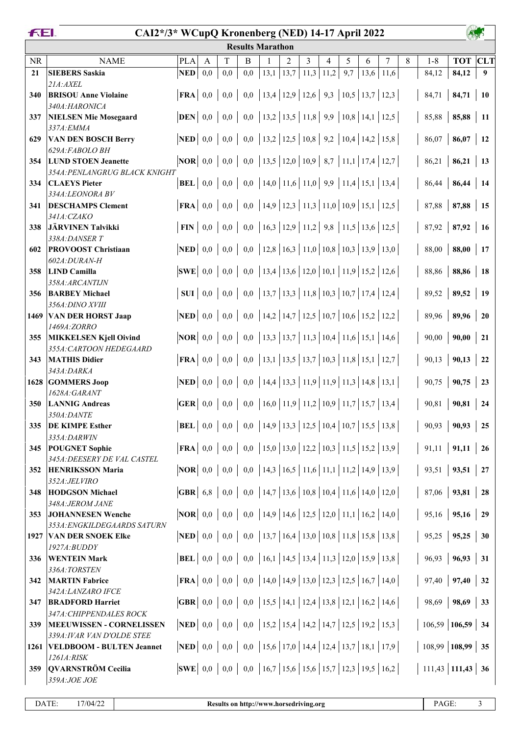## **CAI2\*/3\* WCupQ Kronenberg (NED) 14-17 April 2022**

| T<br>8<br><b>CLT</b><br>2<br>3<br>5<br>7<br>$1 - 8$<br><b>TOT</b><br><b>NR</b><br><b>NAME</b><br><b>PLA</b><br>B<br>4<br>6<br>A<br>13,1<br>13,7<br><b>NED</b><br>0,0<br>0,0<br>$11,3$ 11,2<br>9,7<br>13,6<br>84,12<br>84,12<br>21<br><b>SIEBERS Saskia</b><br>0,0<br>11,6<br>9<br>21A:AXEL<br>  13,4   12,9   12,6   9,3   10,5   13,7   12,3<br>0,0<br>FRA<br>0,0<br>0,0<br>84,71<br>84,71<br><b>BRISOU Anne Violaine</b><br>340<br><b>10</b><br>340A:HARONICA<br>$0,0$   13,2   13,5   11,8   9,9   10,8   14,1   12,5<br><b>DEN</b><br>85,88<br>85,88<br>0,0<br>0,0<br><b>NIELSEN Mie Mosegaard</b><br><b>11</b><br>337<br>337A: EMMA<br>$0,0 \mid 0,0 \mid 13,2 \mid 12,5 \mid 10,8 \mid 9,2 \mid 10,4 \mid 14,2 \mid 15,8$<br><b>NED</b><br>86,07<br>$86,07$   12<br><b>VAN DEN BOSCH Berry</b><br>0,0<br>629<br>629A: FABOLO BH<br>$0,0$   13,5   12,0   10,9   8,7   11,1   17,4   12,7<br>$ NOR $ 0,0 0,0 $ $<br><b>LUND STOEN Jeanette</b><br>86,21<br>86,21<br>13<br>354<br>354A: PENLANGRUG BLACK KNIGHT<br>$0,0$   14,0   11,6   11,0   9,9   11,4   15,1   13,4<br><b>BEL</b><br>0.0<br>0,0<br>86,44<br>86,44<br><b>CLAEYS Pieter</b><br>334<br>-14<br>334A:LEONORA BV<br>0,0   14,9   12,3   11,3   11,0   10,9   15,1   12,5<br>87,88<br>FRA<br>0,0<br>0,0<br>87,88<br><b>DESCHAMPS Clement</b><br>15<br>341<br>341A:CZAKO<br>$0,0 \mid 0,0 \mid 16,3 \mid 12,9 \mid 11,2 \mid 9,8 \mid 11,5 \mid 13,6 \mid 12,5$<br>FIN<br>87,92<br>87,92<br><b>JÄRVINEN Talvikki</b><br>0,0<br>338<br><b>16</b><br>338A:DANSER T<br>$0,0 \mid 0,0 \mid 0,0 \mid 12,8 \mid 16,3 \mid 11,0 \mid 10,8 \mid 10,3 \mid 13,9 \mid 13,0$<br><b>NED</b><br>88,00<br>$88,00$   17<br><b>PROVOOST Christiaan</b><br>602<br>602A:DURAN-H<br>$0,0 \mid 0,0 \mid 13,4 \mid 13,6 \mid 12,0 \mid 10,1 \mid 11,9 \mid 15,2 \mid 12,6$<br><b>SWE</b><br>0,0<br>88,86<br>88,86<br><b>LIND Camilla</b><br>358<br>18<br>358A: ARCANTIJN<br>$0,0 \mid 0,0 \mid 13,7 \mid 13,3 \mid 11,8 \mid 10,3 \mid 10,7 \mid 17,4 \mid 12,4$<br><b>SUI</b><br>0,0<br>89,52<br>89,52<br>356<br><b>BARBEY Michael</b><br>-19<br>356A: DINO XVIII<br><b>NED</b>   0,0   0,0   0,0   14,2   14,7   12,5   10,7   10,6   15,2   12,2<br>89,96<br>89,96<br><b>VAN DER HORST Jaap</b><br>1469<br><b>20</b><br>1469A:ZORRO<br><b>NOR</b>   0,0   0,0   0,0   13,3   13,7   11,3   10,4   11,6   15,1   14,6<br>90,00<br>90,00<br><b>MIKKELSEN Kjell Oivind</b><br>21<br>355<br>355A: CARTOON HEDEGAARD<br>$0,0 \mid 0,0 \mid 0,0 \mid 13,1 \mid 13,5 \mid 13,7 \mid 10,3 \mid 11,8 \mid 15,1 \mid 12,7$<br><b>MATHIS Didier</b><br><b>FRA</b><br>90,13<br>90,13<br>22<br>343<br>343A: DARKA<br>  14,4   13,3   11,9   11,9   11,3   14,8  <br><b>NED</b><br>0,0<br>0,0<br>13,1<br>90,75<br>90,75<br>1628 GOMMERS Joop<br>0,0<br>23<br>1628A: GARANT<br>$\vert 16,0 \vert 11,9 \vert 11,2 \vert 10,9 \vert 11,7 \vert 15,7 \vert 13,4 \vert 14,14 \vert 15,1 \vert 16,14 \vert 17,15 \vert 18,14 \vert 19,16 \vert 19,17 \vert 13,18 \vert 14,19 \vert 15,19 \vert 16,19 \vert 17,19 \vert 18,19 \vert 19,19 \vert 19,19 \vert 19,19 \vert 19,19 \vert 19,19 \vert 19,19 \vert 19,19 \vert 19,19 \vert 1$<br><b>GER</b><br>0,0<br>90,81<br><b>LANNIG Andreas</b><br>0,0<br>0,0<br>90,81<br>350<br>24<br>350A: DANTE<br><b>BEL</b>   0,0   0,0   0,0   14,9   13,3   12,5   10,4   10,7   15,5   13,8<br>90,93<br><b>DE KIMPE Esther</b><br>90,93<br>335<br>25<br>335A:DARWIN<br><b>FRA</b>   0,0   0,0   0,0   15,0   13,0   12,2   10,3   11,5   15,2   13,9  <br>$91,11$   $91,11$   26<br><b>POUGNET Sophie</b><br>345<br>345A: DEESERY DE VAL CASTEL<br><b>NOR</b>   0,0   0,0   0,0   14,3   16,5   11,6   11,1   11,2   14,9   13,9  <br>$93,51$   27<br>93,51<br><b>HENRIKSSON Maria</b><br>352<br>352A:JELVIRO<br><b>GBR</b> 6,8 0,0 0,0 14,7 13,6 10,8 10,4 11,6 14,0 12,0<br>87,06<br>$93,81$   28<br><b>HODGSON Michael</b><br>348<br>348A: JEROM JANE<br><b>NOR</b>   0,0   0,0   0,0   14,9   14,6   12,5   12,0   11,1   16,2   14,0<br>$95,16$   29<br>95,16<br><b>JOHANNESEN Wenche</b><br>353<br>353A: ENGKILDEGAARDS SATURN<br>  NED   0,0   0,0   0,0   13,7   16,4   13,0   10,8   11,8   15,8   13,8  <br>95,25<br>$95,25$ 30<br>1927 VAN DER SNOEK Elke<br>$1927A$ : $BUDDY$<br><b>BEL</b>   0,0   0,0   0,0   16,1   14,5   13,4   11,3   12,0   15,9   13,8  <br>96,93<br>$96,93$ 31<br><b>WENTEIN Mark</b><br>336<br>336A:TORSTEN<br><b>FRA</b>   0,0   0,0   0,0   14,0   14,9   13,0   12,3   12,5   16,7   14,0  <br>97,40<br>$97,40$ 32<br><b>MARTIN Fabrice</b><br>342<br>342A:LANZARO IFCE<br><b>GBR</b>   0,0   0,0   0,0   15,5   14,1   12,4   13,8   12,1   16,2   14,6  <br>98,69<br>$98,69$ 33<br><b>BRADFORD Harriet</b><br>347<br>347A: CHIPPENDALES ROCK<br><b>NED</b>   0,0   0,0   0,0   15,2   15,4   14,2   14,7   12,5   19,2   15,3  <br>$106,59$ 106,59 34<br><b>MEEUWISSEN - CORNELISSEN</b><br>339<br>339A: IVAR VAN D'OLDE STEE | <b>Results Marathon</b> |  |  |  |  |  |  |  |  |  |  |  |  |  |  |  |
|------------------------------------------------------------------------------------------------------------------------------------------------------------------------------------------------------------------------------------------------------------------------------------------------------------------------------------------------------------------------------------------------------------------------------------------------------------------------------------------------------------------------------------------------------------------------------------------------------------------------------------------------------------------------------------------------------------------------------------------------------------------------------------------------------------------------------------------------------------------------------------------------------------------------------------------------------------------------------------------------------------------------------------------------------------------------------------------------------------------------------------------------------------------------------------------------------------------------------------------------------------------------------------------------------------------------------------------------------------------------------------------------------------------------------------------------------------------------------------------------------------------------------------------------------------------------------------------------------------------------------------------------------------------------------------------------------------------------------------------------------------------------------------------------------------------------------------------------------------------------------------------------------------------------------------------------------------------------------------------------------------------------------------------------------------------------------------------------------------------------------------------------------------------------------------------------------------------------------------------------------------------------------------------------------------------------------------------------------------------------------------------------------------------------------------------------------------------------------------------------------------------------------------------------------------------------------------------------------------------------------------------------------------------------------------------------------------------------------------------------------------------------------------------------------------------------------------------------------------------------------------------------------------------------------------------------------------------------------------------------------------------------------------------------------------------------------------------------------------------------------------------------------------------------------------------------------------------------------------------------------------------------------------------------------------------------------------------------------------------------------------------------------------------------------------------------------------------------------------------------------------------------------------------------------------------------------------------------------------------------------------------------------------------------------------------------------------------------------------------------------------------------------------------------------------------------------------------------------------------------------------------------------------------------------------------------------------------------------------------------------------------------------------------------------------------------------------------------------------------------------------------------------------------------------------------------------------------------------------------------------------------------------------------------------------------------------------------------------------------------------------------------------------------------------------------------------------------------------------------------------------------------------------------------------------------------------------------------------------------------------------------------------------------------------------------------------------------------------------------------------------------------------------------------------------------------------------------------------------------------------------------------------------------------------------------|-------------------------|--|--|--|--|--|--|--|--|--|--|--|--|--|--|--|
|                                                                                                                                                                                                                                                                                                                                                                                                                                                                                                                                                                                                                                                                                                                                                                                                                                                                                                                                                                                                                                                                                                                                                                                                                                                                                                                                                                                                                                                                                                                                                                                                                                                                                                                                                                                                                                                                                                                                                                                                                                                                                                                                                                                                                                                                                                                                                                                                                                                                                                                                                                                                                                                                                                                                                                                                                                                                                                                                                                                                                                                                                                                                                                                                                                                                                                                                                                                                                                                                                                                                                                                                                                                                                                                                                                                                                                                                                                                                                                                                                                                                                                                                                                                                                                                                                                                                                                                                                                                                                                                                                                                                                                                                                                                                                                                                                                                                                                                                          |                         |  |  |  |  |  |  |  |  |  |  |  |  |  |  |  |
|                                                                                                                                                                                                                                                                                                                                                                                                                                                                                                                                                                                                                                                                                                                                                                                                                                                                                                                                                                                                                                                                                                                                                                                                                                                                                                                                                                                                                                                                                                                                                                                                                                                                                                                                                                                                                                                                                                                                                                                                                                                                                                                                                                                                                                                                                                                                                                                                                                                                                                                                                                                                                                                                                                                                                                                                                                                                                                                                                                                                                                                                                                                                                                                                                                                                                                                                                                                                                                                                                                                                                                                                                                                                                                                                                                                                                                                                                                                                                                                                                                                                                                                                                                                                                                                                                                                                                                                                                                                                                                                                                                                                                                                                                                                                                                                                                                                                                                                                          |                         |  |  |  |  |  |  |  |  |  |  |  |  |  |  |  |
|                                                                                                                                                                                                                                                                                                                                                                                                                                                                                                                                                                                                                                                                                                                                                                                                                                                                                                                                                                                                                                                                                                                                                                                                                                                                                                                                                                                                                                                                                                                                                                                                                                                                                                                                                                                                                                                                                                                                                                                                                                                                                                                                                                                                                                                                                                                                                                                                                                                                                                                                                                                                                                                                                                                                                                                                                                                                                                                                                                                                                                                                                                                                                                                                                                                                                                                                                                                                                                                                                                                                                                                                                                                                                                                                                                                                                                                                                                                                                                                                                                                                                                                                                                                                                                                                                                                                                                                                                                                                                                                                                                                                                                                                                                                                                                                                                                                                                                                                          |                         |  |  |  |  |  |  |  |  |  |  |  |  |  |  |  |
|                                                                                                                                                                                                                                                                                                                                                                                                                                                                                                                                                                                                                                                                                                                                                                                                                                                                                                                                                                                                                                                                                                                                                                                                                                                                                                                                                                                                                                                                                                                                                                                                                                                                                                                                                                                                                                                                                                                                                                                                                                                                                                                                                                                                                                                                                                                                                                                                                                                                                                                                                                                                                                                                                                                                                                                                                                                                                                                                                                                                                                                                                                                                                                                                                                                                                                                                                                                                                                                                                                                                                                                                                                                                                                                                                                                                                                                                                                                                                                                                                                                                                                                                                                                                                                                                                                                                                                                                                                                                                                                                                                                                                                                                                                                                                                                                                                                                                                                                          |                         |  |  |  |  |  |  |  |  |  |  |  |  |  |  |  |
|                                                                                                                                                                                                                                                                                                                                                                                                                                                                                                                                                                                                                                                                                                                                                                                                                                                                                                                                                                                                                                                                                                                                                                                                                                                                                                                                                                                                                                                                                                                                                                                                                                                                                                                                                                                                                                                                                                                                                                                                                                                                                                                                                                                                                                                                                                                                                                                                                                                                                                                                                                                                                                                                                                                                                                                                                                                                                                                                                                                                                                                                                                                                                                                                                                                                                                                                                                                                                                                                                                                                                                                                                                                                                                                                                                                                                                                                                                                                                                                                                                                                                                                                                                                                                                                                                                                                                                                                                                                                                                                                                                                                                                                                                                                                                                                                                                                                                                                                          |                         |  |  |  |  |  |  |  |  |  |  |  |  |  |  |  |
|                                                                                                                                                                                                                                                                                                                                                                                                                                                                                                                                                                                                                                                                                                                                                                                                                                                                                                                                                                                                                                                                                                                                                                                                                                                                                                                                                                                                                                                                                                                                                                                                                                                                                                                                                                                                                                                                                                                                                                                                                                                                                                                                                                                                                                                                                                                                                                                                                                                                                                                                                                                                                                                                                                                                                                                                                                                                                                                                                                                                                                                                                                                                                                                                                                                                                                                                                                                                                                                                                                                                                                                                                                                                                                                                                                                                                                                                                                                                                                                                                                                                                                                                                                                                                                                                                                                                                                                                                                                                                                                                                                                                                                                                                                                                                                                                                                                                                                                                          |                         |  |  |  |  |  |  |  |  |  |  |  |  |  |  |  |
|                                                                                                                                                                                                                                                                                                                                                                                                                                                                                                                                                                                                                                                                                                                                                                                                                                                                                                                                                                                                                                                                                                                                                                                                                                                                                                                                                                                                                                                                                                                                                                                                                                                                                                                                                                                                                                                                                                                                                                                                                                                                                                                                                                                                                                                                                                                                                                                                                                                                                                                                                                                                                                                                                                                                                                                                                                                                                                                                                                                                                                                                                                                                                                                                                                                                                                                                                                                                                                                                                                                                                                                                                                                                                                                                                                                                                                                                                                                                                                                                                                                                                                                                                                                                                                                                                                                                                                                                                                                                                                                                                                                                                                                                                                                                                                                                                                                                                                                                          |                         |  |  |  |  |  |  |  |  |  |  |  |  |  |  |  |
|                                                                                                                                                                                                                                                                                                                                                                                                                                                                                                                                                                                                                                                                                                                                                                                                                                                                                                                                                                                                                                                                                                                                                                                                                                                                                                                                                                                                                                                                                                                                                                                                                                                                                                                                                                                                                                                                                                                                                                                                                                                                                                                                                                                                                                                                                                                                                                                                                                                                                                                                                                                                                                                                                                                                                                                                                                                                                                                                                                                                                                                                                                                                                                                                                                                                                                                                                                                                                                                                                                                                                                                                                                                                                                                                                                                                                                                                                                                                                                                                                                                                                                                                                                                                                                                                                                                                                                                                                                                                                                                                                                                                                                                                                                                                                                                                                                                                                                                                          |                         |  |  |  |  |  |  |  |  |  |  |  |  |  |  |  |
|                                                                                                                                                                                                                                                                                                                                                                                                                                                                                                                                                                                                                                                                                                                                                                                                                                                                                                                                                                                                                                                                                                                                                                                                                                                                                                                                                                                                                                                                                                                                                                                                                                                                                                                                                                                                                                                                                                                                                                                                                                                                                                                                                                                                                                                                                                                                                                                                                                                                                                                                                                                                                                                                                                                                                                                                                                                                                                                                                                                                                                                                                                                                                                                                                                                                                                                                                                                                                                                                                                                                                                                                                                                                                                                                                                                                                                                                                                                                                                                                                                                                                                                                                                                                                                                                                                                                                                                                                                                                                                                                                                                                                                                                                                                                                                                                                                                                                                                                          |                         |  |  |  |  |  |  |  |  |  |  |  |  |  |  |  |
|                                                                                                                                                                                                                                                                                                                                                                                                                                                                                                                                                                                                                                                                                                                                                                                                                                                                                                                                                                                                                                                                                                                                                                                                                                                                                                                                                                                                                                                                                                                                                                                                                                                                                                                                                                                                                                                                                                                                                                                                                                                                                                                                                                                                                                                                                                                                                                                                                                                                                                                                                                                                                                                                                                                                                                                                                                                                                                                                                                                                                                                                                                                                                                                                                                                                                                                                                                                                                                                                                                                                                                                                                                                                                                                                                                                                                                                                                                                                                                                                                                                                                                                                                                                                                                                                                                                                                                                                                                                                                                                                                                                                                                                                                                                                                                                                                                                                                                                                          |                         |  |  |  |  |  |  |  |  |  |  |  |  |  |  |  |
|                                                                                                                                                                                                                                                                                                                                                                                                                                                                                                                                                                                                                                                                                                                                                                                                                                                                                                                                                                                                                                                                                                                                                                                                                                                                                                                                                                                                                                                                                                                                                                                                                                                                                                                                                                                                                                                                                                                                                                                                                                                                                                                                                                                                                                                                                                                                                                                                                                                                                                                                                                                                                                                                                                                                                                                                                                                                                                                                                                                                                                                                                                                                                                                                                                                                                                                                                                                                                                                                                                                                                                                                                                                                                                                                                                                                                                                                                                                                                                                                                                                                                                                                                                                                                                                                                                                                                                                                                                                                                                                                                                                                                                                                                                                                                                                                                                                                                                                                          |                         |  |  |  |  |  |  |  |  |  |  |  |  |  |  |  |
|                                                                                                                                                                                                                                                                                                                                                                                                                                                                                                                                                                                                                                                                                                                                                                                                                                                                                                                                                                                                                                                                                                                                                                                                                                                                                                                                                                                                                                                                                                                                                                                                                                                                                                                                                                                                                                                                                                                                                                                                                                                                                                                                                                                                                                                                                                                                                                                                                                                                                                                                                                                                                                                                                                                                                                                                                                                                                                                                                                                                                                                                                                                                                                                                                                                                                                                                                                                                                                                                                                                                                                                                                                                                                                                                                                                                                                                                                                                                                                                                                                                                                                                                                                                                                                                                                                                                                                                                                                                                                                                                                                                                                                                                                                                                                                                                                                                                                                                                          |                         |  |  |  |  |  |  |  |  |  |  |  |  |  |  |  |
|                                                                                                                                                                                                                                                                                                                                                                                                                                                                                                                                                                                                                                                                                                                                                                                                                                                                                                                                                                                                                                                                                                                                                                                                                                                                                                                                                                                                                                                                                                                                                                                                                                                                                                                                                                                                                                                                                                                                                                                                                                                                                                                                                                                                                                                                                                                                                                                                                                                                                                                                                                                                                                                                                                                                                                                                                                                                                                                                                                                                                                                                                                                                                                                                                                                                                                                                                                                                                                                                                                                                                                                                                                                                                                                                                                                                                                                                                                                                                                                                                                                                                                                                                                                                                                                                                                                                                                                                                                                                                                                                                                                                                                                                                                                                                                                                                                                                                                                                          |                         |  |  |  |  |  |  |  |  |  |  |  |  |  |  |  |
|                                                                                                                                                                                                                                                                                                                                                                                                                                                                                                                                                                                                                                                                                                                                                                                                                                                                                                                                                                                                                                                                                                                                                                                                                                                                                                                                                                                                                                                                                                                                                                                                                                                                                                                                                                                                                                                                                                                                                                                                                                                                                                                                                                                                                                                                                                                                                                                                                                                                                                                                                                                                                                                                                                                                                                                                                                                                                                                                                                                                                                                                                                                                                                                                                                                                                                                                                                                                                                                                                                                                                                                                                                                                                                                                                                                                                                                                                                                                                                                                                                                                                                                                                                                                                                                                                                                                                                                                                                                                                                                                                                                                                                                                                                                                                                                                                                                                                                                                          |                         |  |  |  |  |  |  |  |  |  |  |  |  |  |  |  |
|                                                                                                                                                                                                                                                                                                                                                                                                                                                                                                                                                                                                                                                                                                                                                                                                                                                                                                                                                                                                                                                                                                                                                                                                                                                                                                                                                                                                                                                                                                                                                                                                                                                                                                                                                                                                                                                                                                                                                                                                                                                                                                                                                                                                                                                                                                                                                                                                                                                                                                                                                                                                                                                                                                                                                                                                                                                                                                                                                                                                                                                                                                                                                                                                                                                                                                                                                                                                                                                                                                                                                                                                                                                                                                                                                                                                                                                                                                                                                                                                                                                                                                                                                                                                                                                                                                                                                                                                                                                                                                                                                                                                                                                                                                                                                                                                                                                                                                                                          |                         |  |  |  |  |  |  |  |  |  |  |  |  |  |  |  |
|                                                                                                                                                                                                                                                                                                                                                                                                                                                                                                                                                                                                                                                                                                                                                                                                                                                                                                                                                                                                                                                                                                                                                                                                                                                                                                                                                                                                                                                                                                                                                                                                                                                                                                                                                                                                                                                                                                                                                                                                                                                                                                                                                                                                                                                                                                                                                                                                                                                                                                                                                                                                                                                                                                                                                                                                                                                                                                                                                                                                                                                                                                                                                                                                                                                                                                                                                                                                                                                                                                                                                                                                                                                                                                                                                                                                                                                                                                                                                                                                                                                                                                                                                                                                                                                                                                                                                                                                                                                                                                                                                                                                                                                                                                                                                                                                                                                                                                                                          |                         |  |  |  |  |  |  |  |  |  |  |  |  |  |  |  |
|                                                                                                                                                                                                                                                                                                                                                                                                                                                                                                                                                                                                                                                                                                                                                                                                                                                                                                                                                                                                                                                                                                                                                                                                                                                                                                                                                                                                                                                                                                                                                                                                                                                                                                                                                                                                                                                                                                                                                                                                                                                                                                                                                                                                                                                                                                                                                                                                                                                                                                                                                                                                                                                                                                                                                                                                                                                                                                                                                                                                                                                                                                                                                                                                                                                                                                                                                                                                                                                                                                                                                                                                                                                                                                                                                                                                                                                                                                                                                                                                                                                                                                                                                                                                                                                                                                                                                                                                                                                                                                                                                                                                                                                                                                                                                                                                                                                                                                                                          |                         |  |  |  |  |  |  |  |  |  |  |  |  |  |  |  |
|                                                                                                                                                                                                                                                                                                                                                                                                                                                                                                                                                                                                                                                                                                                                                                                                                                                                                                                                                                                                                                                                                                                                                                                                                                                                                                                                                                                                                                                                                                                                                                                                                                                                                                                                                                                                                                                                                                                                                                                                                                                                                                                                                                                                                                                                                                                                                                                                                                                                                                                                                                                                                                                                                                                                                                                                                                                                                                                                                                                                                                                                                                                                                                                                                                                                                                                                                                                                                                                                                                                                                                                                                                                                                                                                                                                                                                                                                                                                                                                                                                                                                                                                                                                                                                                                                                                                                                                                                                                                                                                                                                                                                                                                                                                                                                                                                                                                                                                                          |                         |  |  |  |  |  |  |  |  |  |  |  |  |  |  |  |
|                                                                                                                                                                                                                                                                                                                                                                                                                                                                                                                                                                                                                                                                                                                                                                                                                                                                                                                                                                                                                                                                                                                                                                                                                                                                                                                                                                                                                                                                                                                                                                                                                                                                                                                                                                                                                                                                                                                                                                                                                                                                                                                                                                                                                                                                                                                                                                                                                                                                                                                                                                                                                                                                                                                                                                                                                                                                                                                                                                                                                                                                                                                                                                                                                                                                                                                                                                                                                                                                                                                                                                                                                                                                                                                                                                                                                                                                                                                                                                                                                                                                                                                                                                                                                                                                                                                                                                                                                                                                                                                                                                                                                                                                                                                                                                                                                                                                                                                                          |                         |  |  |  |  |  |  |  |  |  |  |  |  |  |  |  |
|                                                                                                                                                                                                                                                                                                                                                                                                                                                                                                                                                                                                                                                                                                                                                                                                                                                                                                                                                                                                                                                                                                                                                                                                                                                                                                                                                                                                                                                                                                                                                                                                                                                                                                                                                                                                                                                                                                                                                                                                                                                                                                                                                                                                                                                                                                                                                                                                                                                                                                                                                                                                                                                                                                                                                                                                                                                                                                                                                                                                                                                                                                                                                                                                                                                                                                                                                                                                                                                                                                                                                                                                                                                                                                                                                                                                                                                                                                                                                                                                                                                                                                                                                                                                                                                                                                                                                                                                                                                                                                                                                                                                                                                                                                                                                                                                                                                                                                                                          |                         |  |  |  |  |  |  |  |  |  |  |  |  |  |  |  |
|                                                                                                                                                                                                                                                                                                                                                                                                                                                                                                                                                                                                                                                                                                                                                                                                                                                                                                                                                                                                                                                                                                                                                                                                                                                                                                                                                                                                                                                                                                                                                                                                                                                                                                                                                                                                                                                                                                                                                                                                                                                                                                                                                                                                                                                                                                                                                                                                                                                                                                                                                                                                                                                                                                                                                                                                                                                                                                                                                                                                                                                                                                                                                                                                                                                                                                                                                                                                                                                                                                                                                                                                                                                                                                                                                                                                                                                                                                                                                                                                                                                                                                                                                                                                                                                                                                                                                                                                                                                                                                                                                                                                                                                                                                                                                                                                                                                                                                                                          |                         |  |  |  |  |  |  |  |  |  |  |  |  |  |  |  |
|                                                                                                                                                                                                                                                                                                                                                                                                                                                                                                                                                                                                                                                                                                                                                                                                                                                                                                                                                                                                                                                                                                                                                                                                                                                                                                                                                                                                                                                                                                                                                                                                                                                                                                                                                                                                                                                                                                                                                                                                                                                                                                                                                                                                                                                                                                                                                                                                                                                                                                                                                                                                                                                                                                                                                                                                                                                                                                                                                                                                                                                                                                                                                                                                                                                                                                                                                                                                                                                                                                                                                                                                                                                                                                                                                                                                                                                                                                                                                                                                                                                                                                                                                                                                                                                                                                                                                                                                                                                                                                                                                                                                                                                                                                                                                                                                                                                                                                                                          |                         |  |  |  |  |  |  |  |  |  |  |  |  |  |  |  |
|                                                                                                                                                                                                                                                                                                                                                                                                                                                                                                                                                                                                                                                                                                                                                                                                                                                                                                                                                                                                                                                                                                                                                                                                                                                                                                                                                                                                                                                                                                                                                                                                                                                                                                                                                                                                                                                                                                                                                                                                                                                                                                                                                                                                                                                                                                                                                                                                                                                                                                                                                                                                                                                                                                                                                                                                                                                                                                                                                                                                                                                                                                                                                                                                                                                                                                                                                                                                                                                                                                                                                                                                                                                                                                                                                                                                                                                                                                                                                                                                                                                                                                                                                                                                                                                                                                                                                                                                                                                                                                                                                                                                                                                                                                                                                                                                                                                                                                                                          |                         |  |  |  |  |  |  |  |  |  |  |  |  |  |  |  |
|                                                                                                                                                                                                                                                                                                                                                                                                                                                                                                                                                                                                                                                                                                                                                                                                                                                                                                                                                                                                                                                                                                                                                                                                                                                                                                                                                                                                                                                                                                                                                                                                                                                                                                                                                                                                                                                                                                                                                                                                                                                                                                                                                                                                                                                                                                                                                                                                                                                                                                                                                                                                                                                                                                                                                                                                                                                                                                                                                                                                                                                                                                                                                                                                                                                                                                                                                                                                                                                                                                                                                                                                                                                                                                                                                                                                                                                                                                                                                                                                                                                                                                                                                                                                                                                                                                                                                                                                                                                                                                                                                                                                                                                                                                                                                                                                                                                                                                                                          |                         |  |  |  |  |  |  |  |  |  |  |  |  |  |  |  |
|                                                                                                                                                                                                                                                                                                                                                                                                                                                                                                                                                                                                                                                                                                                                                                                                                                                                                                                                                                                                                                                                                                                                                                                                                                                                                                                                                                                                                                                                                                                                                                                                                                                                                                                                                                                                                                                                                                                                                                                                                                                                                                                                                                                                                                                                                                                                                                                                                                                                                                                                                                                                                                                                                                                                                                                                                                                                                                                                                                                                                                                                                                                                                                                                                                                                                                                                                                                                                                                                                                                                                                                                                                                                                                                                                                                                                                                                                                                                                                                                                                                                                                                                                                                                                                                                                                                                                                                                                                                                                                                                                                                                                                                                                                                                                                                                                                                                                                                                          |                         |  |  |  |  |  |  |  |  |  |  |  |  |  |  |  |
|                                                                                                                                                                                                                                                                                                                                                                                                                                                                                                                                                                                                                                                                                                                                                                                                                                                                                                                                                                                                                                                                                                                                                                                                                                                                                                                                                                                                                                                                                                                                                                                                                                                                                                                                                                                                                                                                                                                                                                                                                                                                                                                                                                                                                                                                                                                                                                                                                                                                                                                                                                                                                                                                                                                                                                                                                                                                                                                                                                                                                                                                                                                                                                                                                                                                                                                                                                                                                                                                                                                                                                                                                                                                                                                                                                                                                                                                                                                                                                                                                                                                                                                                                                                                                                                                                                                                                                                                                                                                                                                                                                                                                                                                                                                                                                                                                                                                                                                                          |                         |  |  |  |  |  |  |  |  |  |  |  |  |  |  |  |
|                                                                                                                                                                                                                                                                                                                                                                                                                                                                                                                                                                                                                                                                                                                                                                                                                                                                                                                                                                                                                                                                                                                                                                                                                                                                                                                                                                                                                                                                                                                                                                                                                                                                                                                                                                                                                                                                                                                                                                                                                                                                                                                                                                                                                                                                                                                                                                                                                                                                                                                                                                                                                                                                                                                                                                                                                                                                                                                                                                                                                                                                                                                                                                                                                                                                                                                                                                                                                                                                                                                                                                                                                                                                                                                                                                                                                                                                                                                                                                                                                                                                                                                                                                                                                                                                                                                                                                                                                                                                                                                                                                                                                                                                                                                                                                                                                                                                                                                                          |                         |  |  |  |  |  |  |  |  |  |  |  |  |  |  |  |
|                                                                                                                                                                                                                                                                                                                                                                                                                                                                                                                                                                                                                                                                                                                                                                                                                                                                                                                                                                                                                                                                                                                                                                                                                                                                                                                                                                                                                                                                                                                                                                                                                                                                                                                                                                                                                                                                                                                                                                                                                                                                                                                                                                                                                                                                                                                                                                                                                                                                                                                                                                                                                                                                                                                                                                                                                                                                                                                                                                                                                                                                                                                                                                                                                                                                                                                                                                                                                                                                                                                                                                                                                                                                                                                                                                                                                                                                                                                                                                                                                                                                                                                                                                                                                                                                                                                                                                                                                                                                                                                                                                                                                                                                                                                                                                                                                                                                                                                                          |                         |  |  |  |  |  |  |  |  |  |  |  |  |  |  |  |
|                                                                                                                                                                                                                                                                                                                                                                                                                                                                                                                                                                                                                                                                                                                                                                                                                                                                                                                                                                                                                                                                                                                                                                                                                                                                                                                                                                                                                                                                                                                                                                                                                                                                                                                                                                                                                                                                                                                                                                                                                                                                                                                                                                                                                                                                                                                                                                                                                                                                                                                                                                                                                                                                                                                                                                                                                                                                                                                                                                                                                                                                                                                                                                                                                                                                                                                                                                                                                                                                                                                                                                                                                                                                                                                                                                                                                                                                                                                                                                                                                                                                                                                                                                                                                                                                                                                                                                                                                                                                                                                                                                                                                                                                                                                                                                                                                                                                                                                                          |                         |  |  |  |  |  |  |  |  |  |  |  |  |  |  |  |
|                                                                                                                                                                                                                                                                                                                                                                                                                                                                                                                                                                                                                                                                                                                                                                                                                                                                                                                                                                                                                                                                                                                                                                                                                                                                                                                                                                                                                                                                                                                                                                                                                                                                                                                                                                                                                                                                                                                                                                                                                                                                                                                                                                                                                                                                                                                                                                                                                                                                                                                                                                                                                                                                                                                                                                                                                                                                                                                                                                                                                                                                                                                                                                                                                                                                                                                                                                                                                                                                                                                                                                                                                                                                                                                                                                                                                                                                                                                                                                                                                                                                                                                                                                                                                                                                                                                                                                                                                                                                                                                                                                                                                                                                                                                                                                                                                                                                                                                                          |                         |  |  |  |  |  |  |  |  |  |  |  |  |  |  |  |
|                                                                                                                                                                                                                                                                                                                                                                                                                                                                                                                                                                                                                                                                                                                                                                                                                                                                                                                                                                                                                                                                                                                                                                                                                                                                                                                                                                                                                                                                                                                                                                                                                                                                                                                                                                                                                                                                                                                                                                                                                                                                                                                                                                                                                                                                                                                                                                                                                                                                                                                                                                                                                                                                                                                                                                                                                                                                                                                                                                                                                                                                                                                                                                                                                                                                                                                                                                                                                                                                                                                                                                                                                                                                                                                                                                                                                                                                                                                                                                                                                                                                                                                                                                                                                                                                                                                                                                                                                                                                                                                                                                                                                                                                                                                                                                                                                                                                                                                                          |                         |  |  |  |  |  |  |  |  |  |  |  |  |  |  |  |
|                                                                                                                                                                                                                                                                                                                                                                                                                                                                                                                                                                                                                                                                                                                                                                                                                                                                                                                                                                                                                                                                                                                                                                                                                                                                                                                                                                                                                                                                                                                                                                                                                                                                                                                                                                                                                                                                                                                                                                                                                                                                                                                                                                                                                                                                                                                                                                                                                                                                                                                                                                                                                                                                                                                                                                                                                                                                                                                                                                                                                                                                                                                                                                                                                                                                                                                                                                                                                                                                                                                                                                                                                                                                                                                                                                                                                                                                                                                                                                                                                                                                                                                                                                                                                                                                                                                                                                                                                                                                                                                                                                                                                                                                                                                                                                                                                                                                                                                                          |                         |  |  |  |  |  |  |  |  |  |  |  |  |  |  |  |
|                                                                                                                                                                                                                                                                                                                                                                                                                                                                                                                                                                                                                                                                                                                                                                                                                                                                                                                                                                                                                                                                                                                                                                                                                                                                                                                                                                                                                                                                                                                                                                                                                                                                                                                                                                                                                                                                                                                                                                                                                                                                                                                                                                                                                                                                                                                                                                                                                                                                                                                                                                                                                                                                                                                                                                                                                                                                                                                                                                                                                                                                                                                                                                                                                                                                                                                                                                                                                                                                                                                                                                                                                                                                                                                                                                                                                                                                                                                                                                                                                                                                                                                                                                                                                                                                                                                                                                                                                                                                                                                                                                                                                                                                                                                                                                                                                                                                                                                                          |                         |  |  |  |  |  |  |  |  |  |  |  |  |  |  |  |
|                                                                                                                                                                                                                                                                                                                                                                                                                                                                                                                                                                                                                                                                                                                                                                                                                                                                                                                                                                                                                                                                                                                                                                                                                                                                                                                                                                                                                                                                                                                                                                                                                                                                                                                                                                                                                                                                                                                                                                                                                                                                                                                                                                                                                                                                                                                                                                                                                                                                                                                                                                                                                                                                                                                                                                                                                                                                                                                                                                                                                                                                                                                                                                                                                                                                                                                                                                                                                                                                                                                                                                                                                                                                                                                                                                                                                                                                                                                                                                                                                                                                                                                                                                                                                                                                                                                                                                                                                                                                                                                                                                                                                                                                                                                                                                                                                                                                                                                                          |                         |  |  |  |  |  |  |  |  |  |  |  |  |  |  |  |
|                                                                                                                                                                                                                                                                                                                                                                                                                                                                                                                                                                                                                                                                                                                                                                                                                                                                                                                                                                                                                                                                                                                                                                                                                                                                                                                                                                                                                                                                                                                                                                                                                                                                                                                                                                                                                                                                                                                                                                                                                                                                                                                                                                                                                                                                                                                                                                                                                                                                                                                                                                                                                                                                                                                                                                                                                                                                                                                                                                                                                                                                                                                                                                                                                                                                                                                                                                                                                                                                                                                                                                                                                                                                                                                                                                                                                                                                                                                                                                                                                                                                                                                                                                                                                                                                                                                                                                                                                                                                                                                                                                                                                                                                                                                                                                                                                                                                                                                                          |                         |  |  |  |  |  |  |  |  |  |  |  |  |  |  |  |
|                                                                                                                                                                                                                                                                                                                                                                                                                                                                                                                                                                                                                                                                                                                                                                                                                                                                                                                                                                                                                                                                                                                                                                                                                                                                                                                                                                                                                                                                                                                                                                                                                                                                                                                                                                                                                                                                                                                                                                                                                                                                                                                                                                                                                                                                                                                                                                                                                                                                                                                                                                                                                                                                                                                                                                                                                                                                                                                                                                                                                                                                                                                                                                                                                                                                                                                                                                                                                                                                                                                                                                                                                                                                                                                                                                                                                                                                                                                                                                                                                                                                                                                                                                                                                                                                                                                                                                                                                                                                                                                                                                                                                                                                                                                                                                                                                                                                                                                                          |                         |  |  |  |  |  |  |  |  |  |  |  |  |  |  |  |
|                                                                                                                                                                                                                                                                                                                                                                                                                                                                                                                                                                                                                                                                                                                                                                                                                                                                                                                                                                                                                                                                                                                                                                                                                                                                                                                                                                                                                                                                                                                                                                                                                                                                                                                                                                                                                                                                                                                                                                                                                                                                                                                                                                                                                                                                                                                                                                                                                                                                                                                                                                                                                                                                                                                                                                                                                                                                                                                                                                                                                                                                                                                                                                                                                                                                                                                                                                                                                                                                                                                                                                                                                                                                                                                                                                                                                                                                                                                                                                                                                                                                                                                                                                                                                                                                                                                                                                                                                                                                                                                                                                                                                                                                                                                                                                                                                                                                                                                                          |                         |  |  |  |  |  |  |  |  |  |  |  |  |  |  |  |
|                                                                                                                                                                                                                                                                                                                                                                                                                                                                                                                                                                                                                                                                                                                                                                                                                                                                                                                                                                                                                                                                                                                                                                                                                                                                                                                                                                                                                                                                                                                                                                                                                                                                                                                                                                                                                                                                                                                                                                                                                                                                                                                                                                                                                                                                                                                                                                                                                                                                                                                                                                                                                                                                                                                                                                                                                                                                                                                                                                                                                                                                                                                                                                                                                                                                                                                                                                                                                                                                                                                                                                                                                                                                                                                                                                                                                                                                                                                                                                                                                                                                                                                                                                                                                                                                                                                                                                                                                                                                                                                                                                                                                                                                                                                                                                                                                                                                                                                                          |                         |  |  |  |  |  |  |  |  |  |  |  |  |  |  |  |
|                                                                                                                                                                                                                                                                                                                                                                                                                                                                                                                                                                                                                                                                                                                                                                                                                                                                                                                                                                                                                                                                                                                                                                                                                                                                                                                                                                                                                                                                                                                                                                                                                                                                                                                                                                                                                                                                                                                                                                                                                                                                                                                                                                                                                                                                                                                                                                                                                                                                                                                                                                                                                                                                                                                                                                                                                                                                                                                                                                                                                                                                                                                                                                                                                                                                                                                                                                                                                                                                                                                                                                                                                                                                                                                                                                                                                                                                                                                                                                                                                                                                                                                                                                                                                                                                                                                                                                                                                                                                                                                                                                                                                                                                                                                                                                                                                                                                                                                                          |                         |  |  |  |  |  |  |  |  |  |  |  |  |  |  |  |
|                                                                                                                                                                                                                                                                                                                                                                                                                                                                                                                                                                                                                                                                                                                                                                                                                                                                                                                                                                                                                                                                                                                                                                                                                                                                                                                                                                                                                                                                                                                                                                                                                                                                                                                                                                                                                                                                                                                                                                                                                                                                                                                                                                                                                                                                                                                                                                                                                                                                                                                                                                                                                                                                                                                                                                                                                                                                                                                                                                                                                                                                                                                                                                                                                                                                                                                                                                                                                                                                                                                                                                                                                                                                                                                                                                                                                                                                                                                                                                                                                                                                                                                                                                                                                                                                                                                                                                                                                                                                                                                                                                                                                                                                                                                                                                                                                                                                                                                                          |                         |  |  |  |  |  |  |  |  |  |  |  |  |  |  |  |
|                                                                                                                                                                                                                                                                                                                                                                                                                                                                                                                                                                                                                                                                                                                                                                                                                                                                                                                                                                                                                                                                                                                                                                                                                                                                                                                                                                                                                                                                                                                                                                                                                                                                                                                                                                                                                                                                                                                                                                                                                                                                                                                                                                                                                                                                                                                                                                                                                                                                                                                                                                                                                                                                                                                                                                                                                                                                                                                                                                                                                                                                                                                                                                                                                                                                                                                                                                                                                                                                                                                                                                                                                                                                                                                                                                                                                                                                                                                                                                                                                                                                                                                                                                                                                                                                                                                                                                                                                                                                                                                                                                                                                                                                                                                                                                                                                                                                                                                                          |                         |  |  |  |  |  |  |  |  |  |  |  |  |  |  |  |
|                                                                                                                                                                                                                                                                                                                                                                                                                                                                                                                                                                                                                                                                                                                                                                                                                                                                                                                                                                                                                                                                                                                                                                                                                                                                                                                                                                                                                                                                                                                                                                                                                                                                                                                                                                                                                                                                                                                                                                                                                                                                                                                                                                                                                                                                                                                                                                                                                                                                                                                                                                                                                                                                                                                                                                                                                                                                                                                                                                                                                                                                                                                                                                                                                                                                                                                                                                                                                                                                                                                                                                                                                                                                                                                                                                                                                                                                                                                                                                                                                                                                                                                                                                                                                                                                                                                                                                                                                                                                                                                                                                                                                                                                                                                                                                                                                                                                                                                                          |                         |  |  |  |  |  |  |  |  |  |  |  |  |  |  |  |
|                                                                                                                                                                                                                                                                                                                                                                                                                                                                                                                                                                                                                                                                                                                                                                                                                                                                                                                                                                                                                                                                                                                                                                                                                                                                                                                                                                                                                                                                                                                                                                                                                                                                                                                                                                                                                                                                                                                                                                                                                                                                                                                                                                                                                                                                                                                                                                                                                                                                                                                                                                                                                                                                                                                                                                                                                                                                                                                                                                                                                                                                                                                                                                                                                                                                                                                                                                                                                                                                                                                                                                                                                                                                                                                                                                                                                                                                                                                                                                                                                                                                                                                                                                                                                                                                                                                                                                                                                                                                                                                                                                                                                                                                                                                                                                                                                                                                                                                                          |                         |  |  |  |  |  |  |  |  |  |  |  |  |  |  |  |
|                                                                                                                                                                                                                                                                                                                                                                                                                                                                                                                                                                                                                                                                                                                                                                                                                                                                                                                                                                                                                                                                                                                                                                                                                                                                                                                                                                                                                                                                                                                                                                                                                                                                                                                                                                                                                                                                                                                                                                                                                                                                                                                                                                                                                                                                                                                                                                                                                                                                                                                                                                                                                                                                                                                                                                                                                                                                                                                                                                                                                                                                                                                                                                                                                                                                                                                                                                                                                                                                                                                                                                                                                                                                                                                                                                                                                                                                                                                                                                                                                                                                                                                                                                                                                                                                                                                                                                                                                                                                                                                                                                                                                                                                                                                                                                                                                                                                                                                                          |                         |  |  |  |  |  |  |  |  |  |  |  |  |  |  |  |
|                                                                                                                                                                                                                                                                                                                                                                                                                                                                                                                                                                                                                                                                                                                                                                                                                                                                                                                                                                                                                                                                                                                                                                                                                                                                                                                                                                                                                                                                                                                                                                                                                                                                                                                                                                                                                                                                                                                                                                                                                                                                                                                                                                                                                                                                                                                                                                                                                                                                                                                                                                                                                                                                                                                                                                                                                                                                                                                                                                                                                                                                                                                                                                                                                                                                                                                                                                                                                                                                                                                                                                                                                                                                                                                                                                                                                                                                                                                                                                                                                                                                                                                                                                                                                                                                                                                                                                                                                                                                                                                                                                                                                                                                                                                                                                                                                                                                                                                                          |                         |  |  |  |  |  |  |  |  |  |  |  |  |  |  |  |
|                                                                                                                                                                                                                                                                                                                                                                                                                                                                                                                                                                                                                                                                                                                                                                                                                                                                                                                                                                                                                                                                                                                                                                                                                                                                                                                                                                                                                                                                                                                                                                                                                                                                                                                                                                                                                                                                                                                                                                                                                                                                                                                                                                                                                                                                                                                                                                                                                                                                                                                                                                                                                                                                                                                                                                                                                                                                                                                                                                                                                                                                                                                                                                                                                                                                                                                                                                                                                                                                                                                                                                                                                                                                                                                                                                                                                                                                                                                                                                                                                                                                                                                                                                                                                                                                                                                                                                                                                                                                                                                                                                                                                                                                                                                                                                                                                                                                                                                                          |                         |  |  |  |  |  |  |  |  |  |  |  |  |  |  |  |
|                                                                                                                                                                                                                                                                                                                                                                                                                                                                                                                                                                                                                                                                                                                                                                                                                                                                                                                                                                                                                                                                                                                                                                                                                                                                                                                                                                                                                                                                                                                                                                                                                                                                                                                                                                                                                                                                                                                                                                                                                                                                                                                                                                                                                                                                                                                                                                                                                                                                                                                                                                                                                                                                                                                                                                                                                                                                                                                                                                                                                                                                                                                                                                                                                                                                                                                                                                                                                                                                                                                                                                                                                                                                                                                                                                                                                                                                                                                                                                                                                                                                                                                                                                                                                                                                                                                                                                                                                                                                                                                                                                                                                                                                                                                                                                                                                                                                                                                                          |                         |  |  |  |  |  |  |  |  |  |  |  |  |  |  |  |
|                                                                                                                                                                                                                                                                                                                                                                                                                                                                                                                                                                                                                                                                                                                                                                                                                                                                                                                                                                                                                                                                                                                                                                                                                                                                                                                                                                                                                                                                                                                                                                                                                                                                                                                                                                                                                                                                                                                                                                                                                                                                                                                                                                                                                                                                                                                                                                                                                                                                                                                                                                                                                                                                                                                                                                                                                                                                                                                                                                                                                                                                                                                                                                                                                                                                                                                                                                                                                                                                                                                                                                                                                                                                                                                                                                                                                                                                                                                                                                                                                                                                                                                                                                                                                                                                                                                                                                                                                                                                                                                                                                                                                                                                                                                                                                                                                                                                                                                                          |                         |  |  |  |  |  |  |  |  |  |  |  |  |  |  |  |
|                                                                                                                                                                                                                                                                                                                                                                                                                                                                                                                                                                                                                                                                                                                                                                                                                                                                                                                                                                                                                                                                                                                                                                                                                                                                                                                                                                                                                                                                                                                                                                                                                                                                                                                                                                                                                                                                                                                                                                                                                                                                                                                                                                                                                                                                                                                                                                                                                                                                                                                                                                                                                                                                                                                                                                                                                                                                                                                                                                                                                                                                                                                                                                                                                                                                                                                                                                                                                                                                                                                                                                                                                                                                                                                                                                                                                                                                                                                                                                                                                                                                                                                                                                                                                                                                                                                                                                                                                                                                                                                                                                                                                                                                                                                                                                                                                                                                                                                                          |                         |  |  |  |  |  |  |  |  |  |  |  |  |  |  |  |
| <b>NED</b>   0,0   0,0   0,0   15,6   17,0   14,4   12,4   13,7   18,1   17,9  <br>$108,99$ 108,99 35<br>1261 VELDBOOM - BULTEN Jeannet                                                                                                                                                                                                                                                                                                                                                                                                                                                                                                                                                                                                                                                                                                                                                                                                                                                                                                                                                                                                                                                                                                                                                                                                                                                                                                                                                                                                                                                                                                                                                                                                                                                                                                                                                                                                                                                                                                                                                                                                                                                                                                                                                                                                                                                                                                                                                                                                                                                                                                                                                                                                                                                                                                                                                                                                                                                                                                                                                                                                                                                                                                                                                                                                                                                                                                                                                                                                                                                                                                                                                                                                                                                                                                                                                                                                                                                                                                                                                                                                                                                                                                                                                                                                                                                                                                                                                                                                                                                                                                                                                                                                                                                                                                                                                                                                  |                         |  |  |  |  |  |  |  |  |  |  |  |  |  |  |  |
| 1261A:RISK                                                                                                                                                                                                                                                                                                                                                                                                                                                                                                                                                                                                                                                                                                                                                                                                                                                                                                                                                                                                                                                                                                                                                                                                                                                                                                                                                                                                                                                                                                                                                                                                                                                                                                                                                                                                                                                                                                                                                                                                                                                                                                                                                                                                                                                                                                                                                                                                                                                                                                                                                                                                                                                                                                                                                                                                                                                                                                                                                                                                                                                                                                                                                                                                                                                                                                                                                                                                                                                                                                                                                                                                                                                                                                                                                                                                                                                                                                                                                                                                                                                                                                                                                                                                                                                                                                                                                                                                                                                                                                                                                                                                                                                                                                                                                                                                                                                                                                                               |                         |  |  |  |  |  |  |  |  |  |  |  |  |  |  |  |
| <b>SWE</b>   0,0   0,0   0,0   16,7   15,6   15,6   15,7   12,3   19,5   16,2  <br>$111,43$ 111,43 36<br><b>QVARNSTRÖM Cecilia</b><br>359                                                                                                                                                                                                                                                                                                                                                                                                                                                                                                                                                                                                                                                                                                                                                                                                                                                                                                                                                                                                                                                                                                                                                                                                                                                                                                                                                                                                                                                                                                                                                                                                                                                                                                                                                                                                                                                                                                                                                                                                                                                                                                                                                                                                                                                                                                                                                                                                                                                                                                                                                                                                                                                                                                                                                                                                                                                                                                                                                                                                                                                                                                                                                                                                                                                                                                                                                                                                                                                                                                                                                                                                                                                                                                                                                                                                                                                                                                                                                                                                                                                                                                                                                                                                                                                                                                                                                                                                                                                                                                                                                                                                                                                                                                                                                                                                |                         |  |  |  |  |  |  |  |  |  |  |  |  |  |  |  |
| 359A:JOE JOE                                                                                                                                                                                                                                                                                                                                                                                                                                                                                                                                                                                                                                                                                                                                                                                                                                                                                                                                                                                                                                                                                                                                                                                                                                                                                                                                                                                                                                                                                                                                                                                                                                                                                                                                                                                                                                                                                                                                                                                                                                                                                                                                                                                                                                                                                                                                                                                                                                                                                                                                                                                                                                                                                                                                                                                                                                                                                                                                                                                                                                                                                                                                                                                                                                                                                                                                                                                                                                                                                                                                                                                                                                                                                                                                                                                                                                                                                                                                                                                                                                                                                                                                                                                                                                                                                                                                                                                                                                                                                                                                                                                                                                                                                                                                                                                                                                                                                                                             |                         |  |  |  |  |  |  |  |  |  |  |  |  |  |  |  |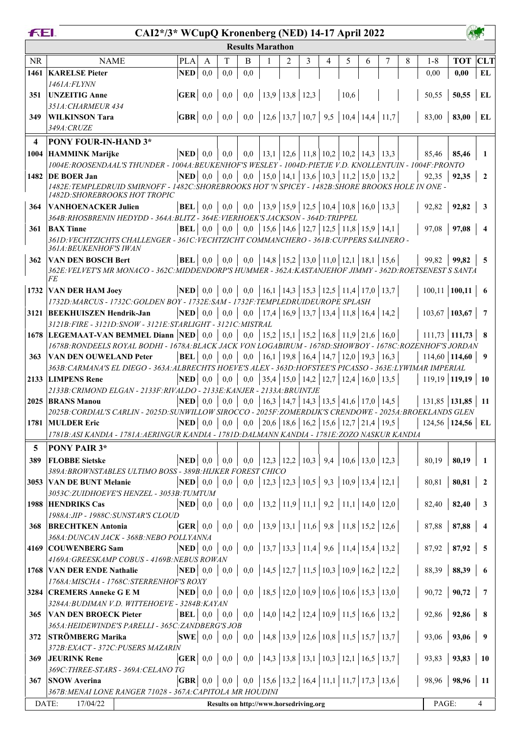|                         | FEI.<br>CAI2*/3* WCupQ Kronenberg (NED) 14-17 April 2022<br><b>Results Marathon</b>                             |                                             |         |                     |                                                                               |  |                                                       |   |   |      |   |                                                       |   |                                    |                        |                                      |
|-------------------------|-----------------------------------------------------------------------------------------------------------------|---------------------------------------------|---------|---------------------|-------------------------------------------------------------------------------|--|-------------------------------------------------------|---|---|------|---|-------------------------------------------------------|---|------------------------------------|------------------------|--------------------------------------|
|                         |                                                                                                                 |                                             |         |                     |                                                                               |  |                                                       |   |   |      |   |                                                       |   |                                    |                        |                                      |
| <b>NR</b>               | <b>NAME</b>                                                                                                     | <b>PLA</b>                                  | A       | T                   | B                                                                             |  | 2                                                     | 3 | 4 | 5    | 6 | 7                                                     | 8 | $1 - 8$                            | <b>TOT CLT</b>         |                                      |
|                         | 1461   KARELSE Pieter                                                                                           | <b>NED</b>                                  | 0,0     | 0,0                 | 0,0                                                                           |  |                                                       |   |   |      |   |                                                       |   | 0,00                               | 0.00                   | EL                                   |
|                         | 1461A:FLYNN                                                                                                     |                                             |         |                     |                                                                               |  |                                                       |   |   |      |   |                                                       |   |                                    |                        |                                      |
| 351                     | <b>UNZEITIG Anne</b>                                                                                            |                                             |         |                     | <b>GER</b>   0,0   0,0   0,0   13,9   13,8   12,3                             |  |                                                       |   |   | 10,6 |   |                                                       |   | 50,55                              | 50,55                  | EL                                   |
|                         | 351A: CHARMEUR 434                                                                                              |                                             |         |                     |                                                                               |  |                                                       |   |   |      |   |                                                       |   |                                    |                        |                                      |
| 349                     | <b>WILKINSON Tara</b>                                                                                           |                                             |         |                     | <b>GBR</b>   0,0   0,0   0,0   12,6   13,7   10,7   9,5   10,4   14,4   11,7  |  |                                                       |   |   |      |   |                                                       |   | 83,00                              | $83,00$ EL             |                                      |
|                         | 349A: CRUZE                                                                                                     |                                             |         |                     |                                                                               |  |                                                       |   |   |      |   |                                                       |   |                                    |                        |                                      |
| $\overline{\mathbf{4}}$ | <b>PONY FOUR-IN-HAND 3*</b>                                                                                     |                                             |         |                     |                                                                               |  |                                                       |   |   |      |   |                                                       |   |                                    |                        |                                      |
|                         | 1004 HAMMINK Marijke                                                                                            | $NED$ 0,0                                   |         | 0,0                 |                                                                               |  |                                                       |   |   |      |   | 0,0   13,1   12,6   11,8   10,2   10,2   14,3   13,3  |   | 85,46                              | 85,46                  |                                      |
|                         | 1004E:ROOSENDAAL'S THUNDER - 1004A:BEUKENHOF'S WESLEY - 1004D:PIETJE V.D. KNOLLENTUIN - 1004F:PRONTO            |                                             |         |                     |                                                                               |  |                                                       |   |   |      |   |                                                       |   |                                    |                        |                                      |
|                         | 1482 DE BOER Jan                                                                                                | $\bf NED$ 0.0                               |         | 0,0                 |                                                                               |  | 0,0   15,0   14,1   13,6   10,3   11,2   15,0   13,2  |   |   |      |   |                                                       |   | 92,35                              | 92,35                  |                                      |
|                         | 1482E:TEMPLEDRUID SMIRNOFF - 1482C:SHOREBROOKS HOT 'N SPICEY - 1482B:SHORE BROOKS HOLE IN ONE -                 |                                             |         |                     |                                                                               |  |                                                       |   |   |      |   |                                                       |   |                                    |                        |                                      |
|                         | 1482D: SHOREBROOKS HOT TROPIC                                                                                   |                                             |         |                     |                                                                               |  |                                                       |   |   |      |   |                                                       |   |                                    |                        |                                      |
| 364                     | <b>VANHOENACKER Julien</b>                                                                                      | $\vert$ BEL $\vert$ 0,0 $\vert$ 0,0 $\vert$ |         |                     |                                                                               |  |                                                       |   |   |      |   | 0,0   13,9   15,9   12,5   10,4   10,8   16,0   13,3  |   | 92,82                              | 92,82                  |                                      |
|                         | 364B: RHOSBRENIN HEDYDD - 364A: BLITZ - 364E: VIERHOEK'S JACKSON - 364D: TRIPPEL                                |                                             |         |                     |                                                                               |  |                                                       |   |   |      |   |                                                       |   |                                    |                        |                                      |
| 361                     | <b>BAX</b> Tinne                                                                                                | <b>BEL</b>                                  |         | $0,0 \mid 0,0 \mid$ |                                                                               |  |                                                       |   |   |      |   | 0,0   15,6   14,6   12,7   12,5   11,8   15,9   14,1  |   | 97,08                              | 97,08                  |                                      |
|                         | 361D: VECHTZICHTS CHALLENGER - 361C: VECHTZICHT COMMANCHERO - 361B: CUPPERS SALINERO -                          |                                             |         |                     |                                                                               |  |                                                       |   |   |      |   |                                                       |   |                                    |                        |                                      |
|                         | 361A: BEUKENHOF'S IWAN                                                                                          |                                             |         |                     |                                                                               |  |                                                       |   |   |      |   |                                                       |   |                                    |                        |                                      |
| 362                     | <b>VAN DEN BOSCH Bert</b>                                                                                       |                                             |         |                     | <b>BEL</b>   0,0   0,0   0,0   14,8   15,2   13,0   11,0   12,1   18,1   15,6 |  |                                                       |   |   |      |   |                                                       |   | 99,82                              | 99.82                  | 5                                    |
|                         | 362E: VELVET'S MR MONACO - 362C: MIDDENDORP'S HUMMER - 362A: KASTANJEHOF JIMMY - 362D: ROETSENEST S SANTA<br>FE |                                             |         |                     |                                                                               |  |                                                       |   |   |      |   |                                                       |   |                                    |                        |                                      |
|                         | 1732 VAN DER HAM Joey                                                                                           |                                             |         |                     | <b>NED</b>   0,0   0,0   0,0   16,1   14,3   15,3   12,5   11,4   17,0   13,7 |  |                                                       |   |   |      |   |                                                       |   | $100,11$   100,11   6              |                        |                                      |
|                         | 1732D: MARCUS - 1732C: GOLDEN BOY - 1732E: SAM - 1732F: TEMPLEDRUIDEUROPE SPLASH                                |                                             |         |                     |                                                                               |  |                                                       |   |   |      |   |                                                       |   |                                    |                        |                                      |
|                         | 3121 BEEKHUISZEN Hendrik-Jan                                                                                    | $\bf NED$ 0.0                               |         | 0,0                 |                                                                               |  |                                                       |   |   |      |   | 0,0   17,4   16,9   13,7   13,4   11,8   16,4   14,2  |   | $103,67$ 103,67                    |                        |                                      |
|                         | 3121B: FIRE - 3121D: SNOW - 3121E: STARLIGHT - 3121C: MISTRAL                                                   |                                             |         |                     |                                                                               |  |                                                       |   |   |      |   |                                                       |   |                                    |                        |                                      |
|                         | 1678 LEGEMAAT-VAN BEMMEL Diann NED 0,0                                                                          |                                             |         | 0,0                 |                                                                               |  |                                                       |   |   |      |   | 0,0   15,2   15,1   15,2   16,8   11,9   21,6   16,0  |   | $111,73$   111,73   8              |                        |                                      |
|                         | 1678B:RONDEELS ROYAL BODHI - 1678A:BLACK JACK VON LOGABIRUM - 1678D:SHOWBOY - 1678C:ROZENHOF'S JORDAN           |                                             |         |                     |                                                                               |  |                                                       |   |   |      |   |                                                       |   |                                    |                        |                                      |
| 363                     | <b>VAN DEN OUWELAND Peter</b>                                                                                   | $ {\bf BEL} $ 0,0                           |         | 0,0                 |                                                                               |  |                                                       |   |   |      |   | 0,0   16,1   19,8   16,4   14,7   12,0   19,3   16,3  |   |                                    | $114,60$   114,60   9  |                                      |
|                         | 363B: CARMANA'S EL DIEGO - 363A: ALBRECHTS HOEVE'S ALEX - 363D: HOFSTEE'S PICASSO - 363E: LYWIMAR IMPERIAL      |                                             |         |                     |                                                                               |  |                                                       |   |   |      |   |                                                       |   |                                    |                        |                                      |
|                         | 2133 LIMPENS Rene                                                                                               | NED                                         | $0.0\,$ | 0,0                 | 0,0                                                                           |  |                                                       |   |   |      |   | 35,4 15,0 14,2 12,7 12,4 16,0 13,5                    |   | $119,19$ 119,19 10                 |                        |                                      |
|                         | 2133B: CRIMOND ELGAN - 2133F: RIVALDO - 2133E: KANJER - 2133A: BRUINTJE                                         |                                             |         |                     |                                                                               |  |                                                       |   |   |      |   |                                                       |   |                                    |                        |                                      |
|                         | 2025 BRANS Manou                                                                                                | $NED$ 0,0                                   |         | 0,0                 |                                                                               |  |                                                       |   |   |      |   | 0,0   16,3   14,7   14,3   13,5   41,6   17,0   14,5  |   | 131,85   <b>131,85</b>   <b>11</b> |                        |                                      |
|                         | 2025B: CORDIAL'S CARLIN - 2025D: SUNWILLOW SIROCCO - 2025F: ZOMERDIJK'S CRENDOWE - 2025A: BROEKLANDS GLEN       |                                             |         |                     |                                                                               |  |                                                       |   |   |      |   |                                                       |   |                                    |                        |                                      |
|                         | 1781 MULDER Eric                                                                                                |                                             |         |                     | <b>NED</b>   0,0   0,0   0,0   20,6   18,6   16,2   15,6   12,7   21,4   19,5 |  |                                                       |   |   |      |   |                                                       |   |                                    | $124,56$   124,56   EL |                                      |
|                         | 1781B: ASI KANDIA - 1781A: AERINGUR KANDIA - 1781D: DALMANN KANDIA - 1781E: ZOZO NASKUR KANDIA                  |                                             |         |                     |                                                                               |  |                                                       |   |   |      |   |                                                       |   |                                    |                        |                                      |
| 5                       | PONY PAIR 3*                                                                                                    |                                             |         |                     |                                                                               |  |                                                       |   |   |      |   |                                                       |   |                                    |                        |                                      |
| 389                     | <b>FLOBBE Sietske</b>                                                                                           | $\bf NED$ 0.0                               |         | 0,0                 |                                                                               |  | $0,0$   12,3   12,2   10,3   9,4   10,6   13,0   12,3 |   |   |      |   |                                                       |   | 80,19                              | 80,19                  | -1                                   |
|                         | 389A: BROWNSTABLES ULTIMO BOSS - 389B: HIJKER FOREST CHICO                                                      |                                             |         |                     |                                                                               |  |                                                       |   |   |      |   |                                                       |   |                                    |                        |                                      |
|                         | 3053 VAN DE BUNT Melanie                                                                                        |                                             |         |                     |                                                                               |  |                                                       |   |   |      |   | $0,0$   12,3   12,3   10,5   9,3   10,9   13,4   12,1 |   | 80,81                              | 80,81                  | $\sqrt{2}$                           |
|                         | 3053C: ZUIDHOEVE'S HENZEL - 3053B: TUMTUM                                                                       |                                             |         |                     |                                                                               |  |                                                       |   |   |      |   |                                                       |   |                                    |                        |                                      |
|                         | 1988 HENDRIKS Cas                                                                                               |                                             |         |                     | <b>NED</b>   0,0   0,0   0,0   13,2   11,9   11,1   9,2   11,1   14,0   12,0  |  |                                                       |   |   |      |   |                                                       |   | 82,40                              | 82,40                  | $\overline{\mathbf{3}}$              |
|                         | 1988A: JIP - 1988C: SUNSTAR'S CLOUD                                                                             |                                             |         |                     |                                                                               |  |                                                       |   |   |      |   |                                                       |   |                                    |                        |                                      |
| 368                     | <b>BRECHTKEN Antonia</b>                                                                                        |                                             |         |                     | <b>GER</b>   0,0   0,0   0,0   13,9   13,1   11,6   9,8   11,8   15,2   12,6  |  |                                                       |   |   |      |   |                                                       |   |                                    | $87,88$   87,88        | $\overline{\bf{4}}$                  |
|                         | 368A: DUNCAN JACK - 368B: NEBO POLLYANNA                                                                        |                                             |         |                     |                                                                               |  |                                                       |   |   |      |   |                                                       |   |                                    |                        |                                      |
|                         | 4169 COUWENBERG Sam                                                                                             |                                             |         |                     | <b>NED</b>   0,0   0,0   0,0   13,7   13,3   11,4   9,6   11,4   15,4   13,2  |  |                                                       |   |   |      |   |                                                       |   | 87,92                              | 87,92                  | $\overline{5}$                       |
|                         | 4169A: GREESKAMP COBUS - 4169B: NEBUS ROWAN                                                                     |                                             |         |                     |                                                                               |  |                                                       |   |   |      |   |                                                       |   |                                    |                        |                                      |
|                         | 1768 VAN DER ENDE Nathalie                                                                                      |                                             |         |                     | <b>NED</b>   0,0   0,0   0,0   14,5   12,7   11,5   10,3   10,9   16,2   12,2 |  |                                                       |   |   |      |   |                                                       |   | 88,39                              | 88,39                  | - 6                                  |
|                         | 1768A: MISCHA - 1768C: STERRENHOF'S ROXY                                                                        |                                             |         |                     |                                                                               |  |                                                       |   |   |      |   |                                                       |   |                                    |                        |                                      |
|                         | 3284 CREMERS Anneke G E M                                                                                       |                                             |         |                     | <b>NED</b>   0,0   0,0   0,0   18,5   12,0   10,9   10,6   10,6   15,3   13,0 |  |                                                       |   |   |      |   |                                                       |   | 90,72                              | 90,72                  | $\overline{7}$                       |
|                         | 3284A: BUDIMAN V.D. WITTEHOEVE - 3284B: KAYAN                                                                   |                                             |         |                     |                                                                               |  |                                                       |   |   |      |   |                                                       |   |                                    |                        |                                      |
| 365                     | <b>VAN DEN BROECK Pieter</b>                                                                                    |                                             |         |                     | <b>BEL</b>   0,0   0,0   0,0   14,0   14,2   12,4   10,9   11,5   16,6   13,2 |  |                                                       |   |   |      |   |                                                       |   |                                    | $92,86$   92,86        | $\begin{array}{c} \circ \end{array}$ |
|                         | 365A: HEIDEWINDE'S PARELLI - 365C: ZANDBERG'S JOB                                                               |                                             |         |                     |                                                                               |  |                                                       |   |   |      |   |                                                       |   |                                    |                        |                                      |
| 372                     | <b>STRÖMBERG Marika</b>                                                                                         |                                             |         |                     | <b>SWE</b>   0,0   0,0   0,0   14,8   13,9   12,6   10,8   11,5   15,7   13,7 |  |                                                       |   |   |      |   |                                                       |   | 93,06                              | 93,06                  | 9                                    |
|                         | 372B: EXACT - 372C: PUSERS MAZARIN                                                                              |                                             |         |                     |                                                                               |  |                                                       |   |   |      |   |                                                       |   |                                    |                        |                                      |
| 369                     | <b>JEURINK Rene</b>                                                                                             |                                             |         |                     | <b>GER</b>   0,0   0,0   0,0   14,3   13,8   13,1   10,3   12,1   16,5   13,7 |  |                                                       |   |   |      |   |                                                       |   | 93,83                              | 93,83                  | $\vert$ 10                           |
|                         | 369C: THREE-STARS - 369A: CELANO TG                                                                             |                                             |         |                     |                                                                               |  |                                                       |   |   |      |   |                                                       |   |                                    |                        |                                      |
|                         | 367 SNOW Averina                                                                                                |                                             |         |                     | <b>GBR</b>   0,0   0,0   0,0   15,6   13,2   16,4   11,1   11,7   17,3   13,6 |  |                                                       |   |   |      |   |                                                       |   | 98,96                              | 98,96                  | -11                                  |
|                         | 367B: MENAI LONE RANGER 71028 - 367A: CAPITOLA MR HOUDINI                                                       |                                             |         |                     |                                                                               |  |                                                       |   |   |      |   |                                                       |   |                                    |                        |                                      |
|                         | DATE:<br>17/04/22                                                                                               |                                             |         |                     | Results on http://www.horsedriving.org                                        |  |                                                       |   |   |      |   |                                                       |   | PAGE:                              |                        | 4                                    |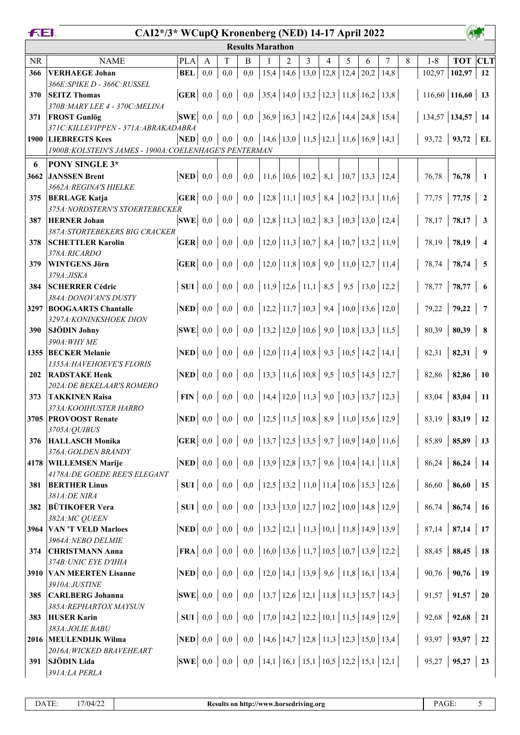| <b>Results Marathon</b><br><b>TOT</b> CLT<br><b>NR</b><br><b>PLA</b><br>T<br>5<br>8<br><b>NAME</b><br>B<br>2<br>3<br>7<br>$1 - 8$<br>4<br>6<br>A<br>$15,4$   14,6  <br>12,8<br>0,0<br>0,0<br>13,0<br>12,4<br>20,2<br>14,8<br>102,97<br>102,97<br><b>VERHAEGE Johan</b><br><b>BEL</b><br>0,0<br>12<br>366<br>366E: SPIKE D - 366C: RUSSEL<br>$\vert 35,4 \vert 14,0 \vert 13,2 \vert 12,3 \vert 11,8 \vert 16,2 \vert 13,8 \vert$<br>$\mathbf{GER} \mid 0.0$<br>0,0<br>$_{0,0}$<br>$116,60$ 116,60 13<br><b>SEITZ Thomas</b><br>370<br>370B: MARY LEE 4 - 370C: MELINA<br> 36,9 16,3 14,2 12,6 14,4 24,8 15,4 <br>$134,57$ 134,57 14<br>$ {\bf SWE} $ 0.0<br>0,0<br>0,0<br><b>FROST Gunlög</b><br>371<br>371C: KILLEVIPPEN - 371A: ABRAKADABRA<br>0,0   14,6   13,0   11,5   12,1   11,6   16,9   14,1  <br>93,72   93,72   EL<br>$\bf NED$ 0,0<br>0,0<br>1900 LIEBREGTS Kees<br>1900B: KOLSTEIN'S JAMES - 1900A: COELENHAGE'S PENTERMAN<br>PONY SINGLE 3*<br>6<br>$\bf NED$ 0.0<br> 11,6 10,6 10,2 8,1<br>3662<br><b>JANSSEN Brent</b><br>0,0<br>0,0<br>$\vert 10,7 \vert 13,3 \vert 12,4 \vert$<br>76,78<br>76,78<br>-1<br>3662A: REGINA'S HIELKE<br>$\vert 12,8 \vert 11,1 \vert 10,5 \vert 8,4 \vert 10,2 \vert 13,1 \vert 11,6$<br>$\overline{\textbf{GER}} \mid 0.0$<br>0,0<br>0,0<br>77,75<br>77,75<br><b>BERLAGE Katja</b><br>375<br>$\overline{2}$<br>375A: NORDSTERN'S STOERTEBECKER<br>  12,8   11,3   10,2   8,3   10,3   13,0   12,4<br>$ {\bf SWE} $ 0,0<br>0,0<br>0,0<br>78,17<br>78,17<br>$\overline{\mathbf{3}}$<br>387<br><b>HERNER Johan</b><br>387A:STORTEBEKERS BIG CRACKER<br>0,0   12,0   11,3   10,7   8,4   10,7   13,2   11,9  <br>$\mathbf{GER} \mid 0,0$<br>78,19<br>78,19<br>0,0<br><b>SCHETTLER Karolin</b><br>378<br>$\overline{4}$ |
|-------------------------------------------------------------------------------------------------------------------------------------------------------------------------------------------------------------------------------------------------------------------------------------------------------------------------------------------------------------------------------------------------------------------------------------------------------------------------------------------------------------------------------------------------------------------------------------------------------------------------------------------------------------------------------------------------------------------------------------------------------------------------------------------------------------------------------------------------------------------------------------------------------------------------------------------------------------------------------------------------------------------------------------------------------------------------------------------------------------------------------------------------------------------------------------------------------------------------------------------------------------------------------------------------------------------------------------------------------------------------------------------------------------------------------------------------------------------------------------------------------------------------------------------------------------------------------------------------------------------------------------------------------------------------------------------------------------------------------------------------------------------|
|                                                                                                                                                                                                                                                                                                                                                                                                                                                                                                                                                                                                                                                                                                                                                                                                                                                                                                                                                                                                                                                                                                                                                                                                                                                                                                                                                                                                                                                                                                                                                                                                                                                                                                                                                                   |
|                                                                                                                                                                                                                                                                                                                                                                                                                                                                                                                                                                                                                                                                                                                                                                                                                                                                                                                                                                                                                                                                                                                                                                                                                                                                                                                                                                                                                                                                                                                                                                                                                                                                                                                                                                   |
|                                                                                                                                                                                                                                                                                                                                                                                                                                                                                                                                                                                                                                                                                                                                                                                                                                                                                                                                                                                                                                                                                                                                                                                                                                                                                                                                                                                                                                                                                                                                                                                                                                                                                                                                                                   |
|                                                                                                                                                                                                                                                                                                                                                                                                                                                                                                                                                                                                                                                                                                                                                                                                                                                                                                                                                                                                                                                                                                                                                                                                                                                                                                                                                                                                                                                                                                                                                                                                                                                                                                                                                                   |
|                                                                                                                                                                                                                                                                                                                                                                                                                                                                                                                                                                                                                                                                                                                                                                                                                                                                                                                                                                                                                                                                                                                                                                                                                                                                                                                                                                                                                                                                                                                                                                                                                                                                                                                                                                   |
|                                                                                                                                                                                                                                                                                                                                                                                                                                                                                                                                                                                                                                                                                                                                                                                                                                                                                                                                                                                                                                                                                                                                                                                                                                                                                                                                                                                                                                                                                                                                                                                                                                                                                                                                                                   |
|                                                                                                                                                                                                                                                                                                                                                                                                                                                                                                                                                                                                                                                                                                                                                                                                                                                                                                                                                                                                                                                                                                                                                                                                                                                                                                                                                                                                                                                                                                                                                                                                                                                                                                                                                                   |
|                                                                                                                                                                                                                                                                                                                                                                                                                                                                                                                                                                                                                                                                                                                                                                                                                                                                                                                                                                                                                                                                                                                                                                                                                                                                                                                                                                                                                                                                                                                                                                                                                                                                                                                                                                   |
|                                                                                                                                                                                                                                                                                                                                                                                                                                                                                                                                                                                                                                                                                                                                                                                                                                                                                                                                                                                                                                                                                                                                                                                                                                                                                                                                                                                                                                                                                                                                                                                                                                                                                                                                                                   |
|                                                                                                                                                                                                                                                                                                                                                                                                                                                                                                                                                                                                                                                                                                                                                                                                                                                                                                                                                                                                                                                                                                                                                                                                                                                                                                                                                                                                                                                                                                                                                                                                                                                                                                                                                                   |
|                                                                                                                                                                                                                                                                                                                                                                                                                                                                                                                                                                                                                                                                                                                                                                                                                                                                                                                                                                                                                                                                                                                                                                                                                                                                                                                                                                                                                                                                                                                                                                                                                                                                                                                                                                   |
|                                                                                                                                                                                                                                                                                                                                                                                                                                                                                                                                                                                                                                                                                                                                                                                                                                                                                                                                                                                                                                                                                                                                                                                                                                                                                                                                                                                                                                                                                                                                                                                                                                                                                                                                                                   |
|                                                                                                                                                                                                                                                                                                                                                                                                                                                                                                                                                                                                                                                                                                                                                                                                                                                                                                                                                                                                                                                                                                                                                                                                                                                                                                                                                                                                                                                                                                                                                                                                                                                                                                                                                                   |
|                                                                                                                                                                                                                                                                                                                                                                                                                                                                                                                                                                                                                                                                                                                                                                                                                                                                                                                                                                                                                                                                                                                                                                                                                                                                                                                                                                                                                                                                                                                                                                                                                                                                                                                                                                   |
|                                                                                                                                                                                                                                                                                                                                                                                                                                                                                                                                                                                                                                                                                                                                                                                                                                                                                                                                                                                                                                                                                                                                                                                                                                                                                                                                                                                                                                                                                                                                                                                                                                                                                                                                                                   |
|                                                                                                                                                                                                                                                                                                                                                                                                                                                                                                                                                                                                                                                                                                                                                                                                                                                                                                                                                                                                                                                                                                                                                                                                                                                                                                                                                                                                                                                                                                                                                                                                                                                                                                                                                                   |
| 378A:RICARDO                                                                                                                                                                                                                                                                                                                                                                                                                                                                                                                                                                                                                                                                                                                                                                                                                                                                                                                                                                                                                                                                                                                                                                                                                                                                                                                                                                                                                                                                                                                                                                                                                                                                                                                                                      |
| $0,0$   12,0   11,8   10,8   9,0   11,0   12,7   11,4<br>$\mathbf{GER} \mid 0,0$<br>0,0<br>78,74<br>78,74<br><b>WINTGENS Jörn</b><br>$\overline{\phantom{0}}$<br>379                                                                                                                                                                                                                                                                                                                                                                                                                                                                                                                                                                                                                                                                                                                                                                                                                                                                                                                                                                                                                                                                                                                                                                                                                                                                                                                                                                                                                                                                                                                                                                                              |
| 379A:JISKA                                                                                                                                                                                                                                                                                                                                                                                                                                                                                                                                                                                                                                                                                                                                                                                                                                                                                                                                                                                                                                                                                                                                                                                                                                                                                                                                                                                                                                                                                                                                                                                                                                                                                                                                                        |
| $0,0$   11,9   12,6   11,1   8,5   9,5   13,0   12,2<br>SUI<br><b>SCHERRER Cédric</b><br>0,0<br>0,0<br>78,77<br>78,77<br>6<br>384                                                                                                                                                                                                                                                                                                                                                                                                                                                                                                                                                                                                                                                                                                                                                                                                                                                                                                                                                                                                                                                                                                                                                                                                                                                                                                                                                                                                                                                                                                                                                                                                                                 |
| 384A: DONOVAN'S DUSTY<br>$\vert 12,2 \vert 11,7 \vert 10,3 \vert 9,4 \vert 10,0 \vert 13,6 \vert 12,0$<br>0,0<br><b>NED</b><br>0,0<br>0,0<br>79,22<br>79,22<br>$\overline{7}$<br>3297 BOOGAARTS Chantalle                                                                                                                                                                                                                                                                                                                                                                                                                                                                                                                                                                                                                                                                                                                                                                                                                                                                                                                                                                                                                                                                                                                                                                                                                                                                                                                                                                                                                                                                                                                                                         |
| 3297A: KONINKSHOEK DION                                                                                                                                                                                                                                                                                                                                                                                                                                                                                                                                                                                                                                                                                                                                                                                                                                                                                                                                                                                                                                                                                                                                                                                                                                                                                                                                                                                                                                                                                                                                                                                                                                                                                                                                           |
| $\vert 13,2 \vert 12,0 \vert 10,6 \vert 9,0 \vert 10,8 \vert 13,3 \vert 11,5$<br>$_{0,0}$<br><b>SJÖDIN Johny</b><br><b>SWE</b><br>0,0<br>80,39<br>80,39<br>0,0<br>- 8<br><b>390</b>                                                                                                                                                                                                                                                                                                                                                                                                                                                                                                                                                                                                                                                                                                                                                                                                                                                                                                                                                                                                                                                                                                                                                                                                                                                                                                                                                                                                                                                                                                                                                                               |
| 390A: WHY ME                                                                                                                                                                                                                                                                                                                                                                                                                                                                                                                                                                                                                                                                                                                                                                                                                                                                                                                                                                                                                                                                                                                                                                                                                                                                                                                                                                                                                                                                                                                                                                                                                                                                                                                                                      |
| 0,0   12,0   11,4   10,8   9,3   10,5   14,2   14,1  <br>$\bf NED$ 0,0<br>82,31<br>82,31<br>0,0<br>1355 BECKER Melanie<br>$\overline{\mathbf{9}}$                                                                                                                                                                                                                                                                                                                                                                                                                                                                                                                                                                                                                                                                                                                                                                                                                                                                                                                                                                                                                                                                                                                                                                                                                                                                                                                                                                                                                                                                                                                                                                                                                 |
| 1355A: HAVEHOEVE'S FLORIS<br>$0,0$   13,3   11,6   10,8   9,5   10,5   14,5   12,7<br>$\bf NED$ 0,0<br>0,0<br>82,86<br>$82,86$   10<br><b>RADSTAKE Henk</b><br>202                                                                                                                                                                                                                                                                                                                                                                                                                                                                                                                                                                                                                                                                                                                                                                                                                                                                                                                                                                                                                                                                                                                                                                                                                                                                                                                                                                                                                                                                                                                                                                                                |
| 202A: DE BEKELAAR'S ROMERO                                                                                                                                                                                                                                                                                                                                                                                                                                                                                                                                                                                                                                                                                                                                                                                                                                                                                                                                                                                                                                                                                                                                                                                                                                                                                                                                                                                                                                                                                                                                                                                                                                                                                                                                        |
| 0,0   14,4   12,0   11,3   9,0   10,3   13,7   12,3<br>$\textbf{FIN} \mid 0.0$<br>83,04<br><b>TAKKINEN Raisa</b><br>0,0<br>83,04<br>373<br>-11                                                                                                                                                                                                                                                                                                                                                                                                                                                                                                                                                                                                                                                                                                                                                                                                                                                                                                                                                                                                                                                                                                                                                                                                                                                                                                                                                                                                                                                                                                                                                                                                                    |
| 373A: KOOIHUSTER HARRO                                                                                                                                                                                                                                                                                                                                                                                                                                                                                                                                                                                                                                                                                                                                                                                                                                                                                                                                                                                                                                                                                                                                                                                                                                                                                                                                                                                                                                                                                                                                                                                                                                                                                                                                            |
| $0,0$   12,5   11,5   10,8   8,9   11,0   15,6   12,9<br>0,0<br>3705 PROVOOST Renate<br>$\mathbf{NED} \mid 0,0$<br>83,19<br>83,19<br>$\vert$ 12                                                                                                                                                                                                                                                                                                                                                                                                                                                                                                                                                                                                                                                                                                                                                                                                                                                                                                                                                                                                                                                                                                                                                                                                                                                                                                                                                                                                                                                                                                                                                                                                                   |
| 3705A: QUIBUS                                                                                                                                                                                                                                                                                                                                                                                                                                                                                                                                                                                                                                                                                                                                                                                                                                                                                                                                                                                                                                                                                                                                                                                                                                                                                                                                                                                                                                                                                                                                                                                                                                                                                                                                                     |
| $0,0$   13,7   12,5   13,5   9,7   10,9   14,0   11,6<br>85,89<br>$85,89$   13<br><b>HALLASCH Monika</b><br>376<br>376A: GOLDEN BRANDY                                                                                                                                                                                                                                                                                                                                                                                                                                                                                                                                                                                                                                                                                                                                                                                                                                                                                                                                                                                                                                                                                                                                                                                                                                                                                                                                                                                                                                                                                                                                                                                                                            |
| $NED$ 0,0<br>0,0<br>86,24<br>$86,24$   14<br>4178 WILLEMSEN Marije                                                                                                                                                                                                                                                                                                                                                                                                                                                                                                                                                                                                                                                                                                                                                                                                                                                                                                                                                                                                                                                                                                                                                                                                                                                                                                                                                                                                                                                                                                                                                                                                                                                                                                |
| 4178A: DE GOEDE REE'S ELEGANT                                                                                                                                                                                                                                                                                                                                                                                                                                                                                                                                                                                                                                                                                                                                                                                                                                                                                                                                                                                                                                                                                                                                                                                                                                                                                                                                                                                                                                                                                                                                                                                                                                                                                                                                     |
| 0,0   12,5   13,2   11,0   11,4   10,6   15,3   12,6  <br><b>SUI</b>   $0,0$   $0,0$  <br>$86,60$   15<br>86,60<br><b>BERTHER Linus</b><br>381                                                                                                                                                                                                                                                                                                                                                                                                                                                                                                                                                                                                                                                                                                                                                                                                                                                                                                                                                                                                                                                                                                                                                                                                                                                                                                                                                                                                                                                                                                                                                                                                                    |
| 381A:DE NIRA                                                                                                                                                                                                                                                                                                                                                                                                                                                                                                                                                                                                                                                                                                                                                                                                                                                                                                                                                                                                                                                                                                                                                                                                                                                                                                                                                                                                                                                                                                                                                                                                                                                                                                                                                      |
| 0,0   13,3   13,0   12,7   10,2   10,0   14,8   12,9  <br><b>BÜTIKOFER Vera</b><br>$SUI \mid 0,0$<br>86,74<br>$86,74$ 16<br>0,0<br>382<br>382A:MC QUEEN                                                                                                                                                                                                                                                                                                                                                                                                                                                                                                                                                                                                                                                                                                                                                                                                                                                                                                                                                                                                                                                                                                                                                                                                                                                                                                                                                                                                                                                                                                                                                                                                           |
| 0,0   13,2   12,1   11,3   10,1   11,8   14,9   13,9  <br>$\bf NED$ 0,0<br>0,0<br>$87,14$   87,14   17<br><b>VAN 'T VELD Marloes</b><br>3964                                                                                                                                                                                                                                                                                                                                                                                                                                                                                                                                                                                                                                                                                                                                                                                                                                                                                                                                                                                                                                                                                                                                                                                                                                                                                                                                                                                                                                                                                                                                                                                                                      |
| 3964A: NEBO DELMIE                                                                                                                                                                                                                                                                                                                                                                                                                                                                                                                                                                                                                                                                                                                                                                                                                                                                                                                                                                                                                                                                                                                                                                                                                                                                                                                                                                                                                                                                                                                                                                                                                                                                                                                                                |
| 0,0   16,0   13,6   11,7   10,5   10,7   13,9   12,2  <br>$ $ FRA $ $ 0,0 $ $<br>$88,45$ 18<br>0,0<br>88,45<br><b>CHRISTMANN Anna</b><br>374                                                                                                                                                                                                                                                                                                                                                                                                                                                                                                                                                                                                                                                                                                                                                                                                                                                                                                                                                                                                                                                                                                                                                                                                                                                                                                                                                                                                                                                                                                                                                                                                                      |
| 374B: UNIC EYE D'IHIA                                                                                                                                                                                                                                                                                                                                                                                                                                                                                                                                                                                                                                                                                                                                                                                                                                                                                                                                                                                                                                                                                                                                                                                                                                                                                                                                                                                                                                                                                                                                                                                                                                                                                                                                             |
| <b>NED</b>   0,0   0,0   0,0   12,0   14,1   13,9   9,6   11,8   16,1   13,4  <br>$90,76$   90,76   19<br><b>VAN MEERTEN Lisanne</b><br>3910                                                                                                                                                                                                                                                                                                                                                                                                                                                                                                                                                                                                                                                                                                                                                                                                                                                                                                                                                                                                                                                                                                                                                                                                                                                                                                                                                                                                                                                                                                                                                                                                                      |
| 3910A:JUSTINE<br>0,0   13,7   12,6   12,1   11,8   11,3   15,7   14,3  <br>$ {\rm SWE} $ 0,0 0,0<br>$91,57$   $91,57$   20<br><b>CARLBERG Johanna</b><br>385                                                                                                                                                                                                                                                                                                                                                                                                                                                                                                                                                                                                                                                                                                                                                                                                                                                                                                                                                                                                                                                                                                                                                                                                                                                                                                                                                                                                                                                                                                                                                                                                      |
| 385A: REPHARTOX MAYSUN                                                                                                                                                                                                                                                                                                                                                                                                                                                                                                                                                                                                                                                                                                                                                                                                                                                                                                                                                                                                                                                                                                                                                                                                                                                                                                                                                                                                                                                                                                                                                                                                                                                                                                                                            |
| 0,0   17,0   14,2   12,2   10,1   11,5   14,9   12,9  <br>$SUI$ 0,0<br>0,0<br>92,68<br>92,68<br><b>HUSER Karin</b><br>21<br>383                                                                                                                                                                                                                                                                                                                                                                                                                                                                                                                                                                                                                                                                                                                                                                                                                                                                                                                                                                                                                                                                                                                                                                                                                                                                                                                                                                                                                                                                                                                                                                                                                                   |
| 383A: JOLIE BABU                                                                                                                                                                                                                                                                                                                                                                                                                                                                                                                                                                                                                                                                                                                                                                                                                                                                                                                                                                                                                                                                                                                                                                                                                                                                                                                                                                                                                                                                                                                                                                                                                                                                                                                                                  |
| 0,0   14,6   14,7   12,8   11,3   12,3   15,0   13,4  <br>$\bf NED$ 0,0<br>0,0<br>93,97<br>93,97<br>2016 MEULENDIJK Wilma<br>22                                                                                                                                                                                                                                                                                                                                                                                                                                                                                                                                                                                                                                                                                                                                                                                                                                                                                                                                                                                                                                                                                                                                                                                                                                                                                                                                                                                                                                                                                                                                                                                                                                   |
| 2016A: WICKED BRAVEHEART<br><b>SWE</b>   0,0   0,0   0,0   14,1   16,1   15,1   10,5   12,2   15,1   12,1  <br>$95,27$   95,27   23<br><b>SJÖDIN Lida</b><br>391                                                                                                                                                                                                                                                                                                                                                                                                                                                                                                                                                                                                                                                                                                                                                                                                                                                                                                                                                                                                                                                                                                                                                                                                                                                                                                                                                                                                                                                                                                                                                                                                  |
| 391A:LA PERLA                                                                                                                                                                                                                                                                                                                                                                                                                                                                                                                                                                                                                                                                                                                                                                                                                                                                                                                                                                                                                                                                                                                                                                                                                                                                                                                                                                                                                                                                                                                                                                                                                                                                                                                                                     |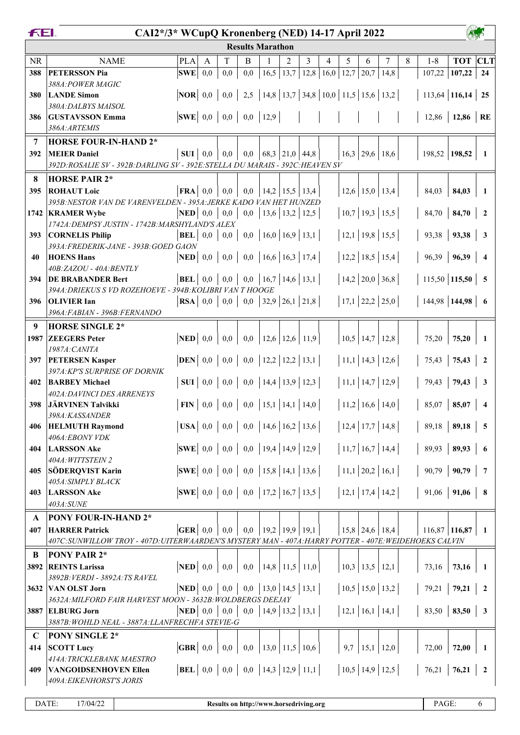|             | FEI.<br>CAI2*/3* WCupQ Kronenberg (NED) 14-17 April 2022<br><b>Results Marathon</b>                |                                                  |              |              |                                                                                            |      |      |                                          |                                                |      |                      |                      |   |                    |                            |                     |
|-------------|----------------------------------------------------------------------------------------------------|--------------------------------------------------|--------------|--------------|--------------------------------------------------------------------------------------------|------|------|------------------------------------------|------------------------------------------------|------|----------------------|----------------------|---|--------------------|----------------------------|---------------------|
|             |                                                                                                    |                                                  |              |              |                                                                                            |      |      |                                          |                                                |      |                      |                      |   |                    |                            |                     |
| <b>NR</b>   | <b>NAME</b>                                                                                        | <b>PLA</b>                                       | $\mathbf{A}$ | T            | B                                                                                          |      | 2    | 3                                        | 4                                              | 5    | 6                    | 7                    | 8 | $1 - 8$            | <b>TOT</b> CLT             |                     |
| 388         | <b>PETERSSON Pia</b>                                                                               | SWE                                              | 0,0          | 0,0          | 0,0                                                                                        | 16,5 | 13,7 |                                          | 12,8   16,0                                    | 12,7 | 20,7                 | 14,8                 |   |                    | $107,22$   107,22          | 24                  |
|             | 388A: POWER MAGIC                                                                                  |                                                  |              |              |                                                                                            |      |      |                                          |                                                |      |                      |                      |   |                    |                            |                     |
| 380         | <b>LANDE Simon</b>                                                                                 | $\vert$ NOR $\vert$ 0,0 $\vert$                  |              | 0,0          | 2,5                                                                                        |      |      |                                          | 14,8   13,7   34,8   10,0   11,5   15,6   13,2 |      |                      |                      |   | $113,64$ 116,14 25 |                            |                     |
|             | 380A: DALBYS MAISOL                                                                                |                                                  |              |              |                                                                                            |      |      |                                          |                                                |      |                      |                      |   |                    |                            |                     |
| 386         | <b>GUSTAVSSON Emma</b>                                                                             | $ SWE $ 0,0                                      |              |              | $0,0$   $0,0$   12,9                                                                       |      |      |                                          |                                                |      |                      |                      |   |                    | 12,86   12,86   RE         |                     |
|             | 386A:ARTEMIS                                                                                       |                                                  |              |              |                                                                                            |      |      |                                          |                                                |      |                      |                      |   |                    |                            |                     |
| 7           | <b>HORSE FOUR-IN-HAND 2*</b>                                                                       |                                                  |              |              |                                                                                            |      |      |                                          |                                                |      |                      |                      |   |                    |                            |                     |
| 392         | <b>MEIER Daniel</b>                                                                                | $SUI$ 0,0                                        |              | 0,0          | 0,0                                                                                        |      |      | $\vert 68,3 \vert 21,0 \vert 44,8 \vert$ |                                                |      |                      | $16,3$   29,6   18,6 |   |                    | $198,52$ 198,52            | 1                   |
|             | 392D:ROSALIE SV - 392B:DARLING SV - 392E:STELLA DU MARAIS - 392C:HEAVEN SV                         |                                                  |              |              |                                                                                            |      |      |                                          |                                                |      |                      |                      |   |                    |                            |                     |
| 8           | <b>HORSE PAIR 2*</b>                                                                               |                                                  |              |              |                                                                                            |      |      |                                          |                                                |      |                      |                      |   |                    |                            |                     |
| 395         | <b>ROHAUT Loic</b>                                                                                 | $\mathbf{FRA} \mid 0,0$                          |              | 0,0          | 0,0                                                                                        |      |      | 14,2 15,5 13,4                           |                                                |      |                      | $12,6$ 15,0 13,4     |   | 84,03              | 84,03                      |                     |
|             | 395B: NESTOR VAN DE VARENVELDEN - 395A: JERKE KADO VAN HET HUNZED                                  |                                                  |              |              |                                                                                            |      |      |                                          |                                                |      |                      |                      |   |                    |                            |                     |
|             | 1742 KRAMER Wybe                                                                                   | $\bf NED$ 0,0                                    |              | 0,0          | 0,0                                                                                        |      |      | 13,6   13,2   12,5                       |                                                |      |                      | $10,7$ 19,3 15,5     |   | 84,70              | 84,70                      | $\mathbf{2}$        |
| 393         | 1742A: DEMPSY JUSTIN - 1742B: MARSHYLAND'S ALEX<br><b>CORNELIS Philip</b>                          | $BEL$ 0,0                                        |              | 0,0          |                                                                                            |      |      | $0,0$   16,0   16,9   13,1               |                                                |      |                      | $12,1$   19,8   15,5 |   | 93,38              | 93,38                      | 3                   |
|             | 393A: FREDERIK-JANE - 393B: GOED GAON                                                              |                                                  |              |              |                                                                                            |      |      |                                          |                                                |      |                      |                      |   |                    |                            |                     |
| 40          | <b>HOENS Hans</b>                                                                                  | $\bf NED$ 0,0                                    |              | 0,0          | 0,0                                                                                        |      |      | 16,6 16,3 17,4                           |                                                |      |                      | $12,2$   18,5   15,4 |   | 96,39              | 96,39                      | $\overline{\bf{4}}$ |
|             | 40B:ZAZOU - 40A:BENTLY                                                                             |                                                  |              |              |                                                                                            |      |      |                                          |                                                |      |                      |                      |   |                    |                            |                     |
| 394         | <b>DE BRABANDER Bert</b>                                                                           | $ {\bf BEL} $ 0,0                                |              | 0,0          | 0,0                                                                                        |      |      | 16,7 14,6 13,1                           |                                                |      |                      | $14,2$ 20,0 36,8     |   |                    | $115,50$ 115,50 5          |                     |
|             | 394A: DRIEKUS S VD ROZEHOEVE - 394B: KOLIBRI VAN T HOOGE                                           |                                                  |              |              |                                                                                            |      |      |                                          |                                                |      |                      |                      |   |                    |                            |                     |
| 396         | <b>OLIVIER Ian</b>                                                                                 | $\mathbf{RSA} \mid 0,0$                          |              | 0,0          |                                                                                            |      |      | $0,0$   32,9   26,1   21,8               |                                                |      |                      | $17,1$ 22,2 25,0     |   |                    | $144,98$ 144,98 6          |                     |
|             | 396A:FABIAN - 396B:FERNANDO                                                                        |                                                  |              |              |                                                                                            |      |      |                                          |                                                |      |                      |                      |   |                    |                            |                     |
| 9           | <b>HORSE SINGLE 2*</b>                                                                             |                                                  |              |              |                                                                                            |      |      |                                          |                                                |      |                      |                      |   |                    |                            |                     |
| 1987        | <b>ZEEGERS</b> Peter                                                                               | $\bf NED$ 0,0                                    |              | 0,0          | 0,0                                                                                        |      |      | 12,6   12,6   11,9                       |                                                |      | $10,5$   14,7   12,8 |                      |   | 75,20              | 75,20                      |                     |
| 397         | 1987A: CANITA<br><b>PETERSEN Kasper</b>                                                            | $DEN$ 0,0                                        |              | 0,0          |                                                                                            |      |      | $0,0$   12,2   12,2   13,1               |                                                |      |                      | $11,1$   14,3   12,6 |   | 75,43              | 75,43                      | $\mathbf{2}$        |
|             | 397A: KP'S SURPRISE OF DORNIK                                                                      |                                                  |              |              |                                                                                            |      |      |                                          |                                                |      |                      |                      |   |                    |                            |                     |
| 402         | <b>BARBEY Michael</b>                                                                              | $SUI$ 0,0                                        |              | 0,0          |                                                                                            |      |      | $0,0$   14,4   13,9   12,3               |                                                |      |                      | $11,1$   14,7   12,9 |   | 79,43              | 79,43                      | 3                   |
|             | 402A: DAVINCI DES ARRENEYS                                                                         |                                                  |              |              |                                                                                            |      |      |                                          |                                                |      |                      |                      |   |                    |                            |                     |
| 398         | JÄRVINEN Talvikki                                                                                  | $\textbf{FIN} \mid 0,0$                          |              | 0,0          |                                                                                            |      |      | $0,0$   15,1   14,1   14,0               |                                                |      |                      | $11,2$ 16,6 14,0     |   | 85,07              | 85,07                      |                     |
|             | 398A:KASSANDER                                                                                     |                                                  |              |              |                                                                                            |      |      |                                          |                                                |      |                      |                      |   |                    |                            |                     |
| 406         | <b>HELMUTH Raymond</b>                                                                             |                                                  |              |              | <b>USA</b>   0,0   0,0   0,0   14,6   16,2   13,6                                          |      |      |                                          |                                                |      |                      | $12,4$ 17,7 14,8     |   |                    | $89,18$   89,18            | - 5                 |
|             | 406A:EBONY VDK                                                                                     |                                                  |              |              |                                                                                            |      |      |                                          |                                                |      |                      |                      |   |                    |                            |                     |
| 404         | <b>LARSSON Ake</b>                                                                                 |                                                  |              |              | <b>SWE</b> $\begin{bmatrix} 0,0 & 0,0 & 0,0 \\ 0,0 & 0 & 0.0 \end{bmatrix}$ 19,4 14,9 12,9 |      |      |                                          |                                                |      |                      | 11,7 16,7 14,4       |   |                    | $89,93$   89,93            | - 6                 |
| 405         | 404A: WITTSTEIN 2<br>SÖDERQVIST Karin                                                              | $ SWE $ 0,0                                      |              |              | $0,0$   0,0   15,8   14,1   13,6                                                           |      |      |                                          |                                                |      |                      | 11,1 20,2 16,1       |   |                    | $90,79$   90,79            | $\overline{7}$      |
|             | 405A: SIMPLY BLACK                                                                                 |                                                  |              |              |                                                                                            |      |      |                                          |                                                |      |                      |                      |   |                    |                            |                     |
| 403         | <b>LARSSON Ake</b>                                                                                 |                                                  |              |              | <b>SWE</b> 0,0 0,0 0,0 17,2 16,7 13,5                                                      |      |      |                                          |                                                |      |                      | 12,1 17,4 14,2       |   |                    | $91,06$   91,06   8        |                     |
|             | 403A:SUNE                                                                                          |                                                  |              |              |                                                                                            |      |      |                                          |                                                |      |                      |                      |   |                    |                            |                     |
| A           | PONY FOUR-IN-HAND 2*                                                                               |                                                  |              |              |                                                                                            |      |      |                                          |                                                |      |                      |                      |   |                    |                            |                     |
| 407         | <b>HARRER Patrick</b>                                                                              | $GER$ 0,0                                        |              | $_{0,0}$     | 0,0                                                                                        |      |      | 19,2 19,9 19,1                           |                                                |      |                      | $15,8$   24,6   18,4 |   |                    | $116,87$ 116,87            | 1                   |
|             | 407C:SUNWILLOW TROY - 407D:UITERWAARDEN'S MYSTERY MAN - 407A:HARRY POTTER - 407E:WEIDEHOEKS CALVIN |                                                  |              |              |                                                                                            |      |      |                                          |                                                |      |                      |                      |   |                    |                            |                     |
| B           | <b>PONY PAIR 2*</b>                                                                                |                                                  |              |              |                                                                                            |      |      |                                          |                                                |      |                      |                      |   |                    |                            |                     |
| 3892        | <b>REINTS Larissa</b>                                                                              | $\bf NED$ 0,0                                    |              | 0,0          | $_{\rm 0,0}$                                                                               |      |      | 14,8 11,5 11,0                           |                                                |      |                      | $10,3$   13,5   12,1 |   | 73,16              | 73,16                      | 1                   |
|             | 3892B: VERDI - 3892A: TS RAVEL                                                                     |                                                  |              |              |                                                                                            |      |      |                                          |                                                |      |                      |                      |   |                    |                            |                     |
|             | 3632 VAN OLST Jorn                                                                                 | $\bf NED$ 0,0                                    |              | 0,0          |                                                                                            |      |      | $0,0$   13,0   14,5   13,1               |                                                |      |                      | 10,5 15,0 13,2       |   |                    | $79,21$   $79,21$   2      |                     |
|             | 3632A: MILFORD FAIR HARVEST MOON - 3632B: WOLDBERGS DEEJAY                                         |                                                  |              |              |                                                                                            |      |      |                                          |                                                |      |                      |                      |   |                    |                            |                     |
|             | 3887 ELBURG Jorn                                                                                   | $\mathbf{NED} \begin{array}{ c} 0.0 \end{array}$ |              | 0,0          |                                                                                            |      |      | $0,0$   14,9   13,2   13,1               |                                                |      |                      | $12,1$ 16,1 14,1     |   |                    | $83,50$   <b>83,50</b>   3 |                     |
|             | 3887B: WOHLD NEAL - 3887A: LLANFRECHFA STEVIE-G                                                    |                                                  |              |              |                                                                                            |      |      |                                          |                                                |      |                      |                      |   |                    |                            |                     |
| $\mathbf C$ | <b>PONY SINGLE 2*</b>                                                                              |                                                  |              |              |                                                                                            |      |      |                                          |                                                |      |                      |                      |   |                    |                            |                     |
| 414         | <b>SCOTT Lucy</b>                                                                                  | $\textbf{GBR} \mid 0,0$                          |              | $_{\rm 0,0}$ | 0,0                                                                                        |      |      | 13,0   11,5   10,6                       |                                                | 9,7  |                      | $15,1$   12,0        |   | 72,00              | 72,00                      | 1                   |
|             | 414A: TRICKLEBANK MAESTRO                                                                          |                                                  |              |              |                                                                                            |      |      |                                          |                                                |      |                      |                      |   |                    |                            |                     |
| 409         | <b>VANGOIDSENHOVEN Ellen</b><br>409A: EIKENHORST'S JORIS                                           |                                                  |              |              | <b>BEL</b>   0,0   0,0   0,0   14,3   12,9   11,1                                          |      |      |                                          |                                                |      |                      | 10,5 14,9 12,5       |   |                    | $76,21$   $76,21$          | $\overline{2}$      |
|             |                                                                                                    |                                                  |              |              |                                                                                            |      |      |                                          |                                                |      |                      |                      |   |                    |                            |                     |